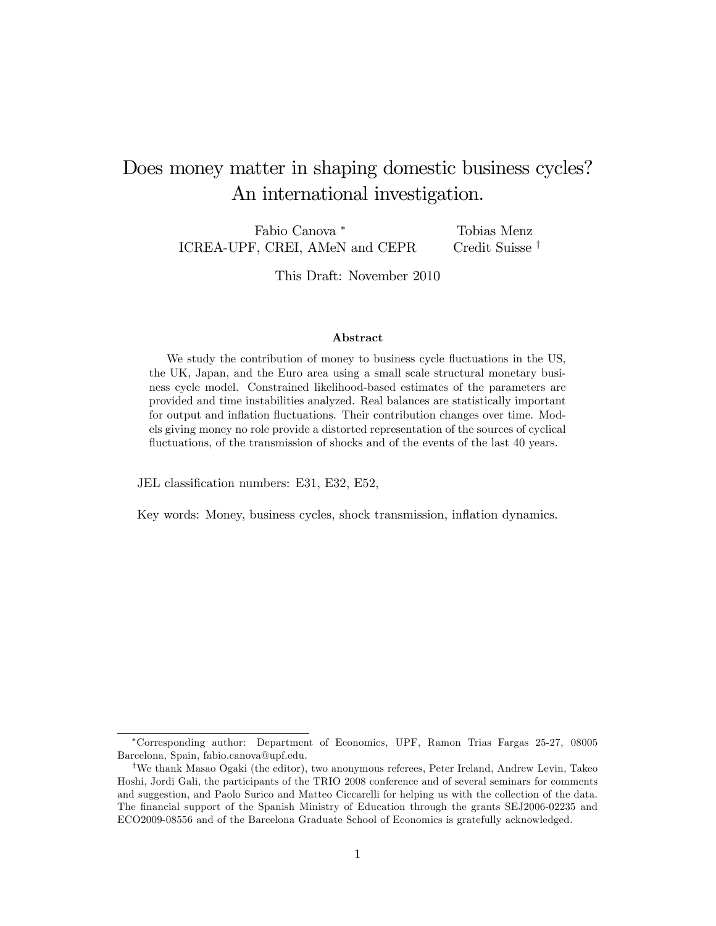# Does money matter in shaping domestic business cycles? An international investigation.

Fabio Canova ICREA-UPF, CREI, AMeN and CEPR Tobias Menz Credit Suisse<sup>†</sup>

This Draft: November 2010

#### Abstract

We study the contribution of money to business cycle fluctuations in the US, the UK, Japan, and the Euro area using a small scale structural monetary business cycle model. Constrained likelihood-based estimates of the parameters are provided and time instabilities analyzed. Real balances are statistically important for output and inflation fluctuations. Their contribution changes over time. Models giving money no role provide a distorted representation of the sources of cyclical fluctuations, of the transmission of shocks and of the events of the last 40 years.

JEL classification numbers: E31, E32, E52,

Key words: Money, business cycles, shock transmission, ináation dynamics.

Corresponding author: Department of Economics, UPF, Ramon Trias Fargas 25-27, 08005 Barcelona, Spain, fabio.canova@upf.edu.

<sup>&</sup>lt;sup>†</sup>We thank Masao Ogaki (the editor), two anonymous referees, Peter Ireland, Andrew Levin, Takeo Hoshi, Jordi Gali, the participants of the TRIO 2008 conference and of several seminars for comments and suggestion, and Paolo Surico and Matteo Ciccarelli for helping us with the collection of the data. The financial support of the Spanish Ministry of Education through the grants SEJ2006-02235 and ECO2009-08556 and of the Barcelona Graduate School of Economics is gratefully acknowledged.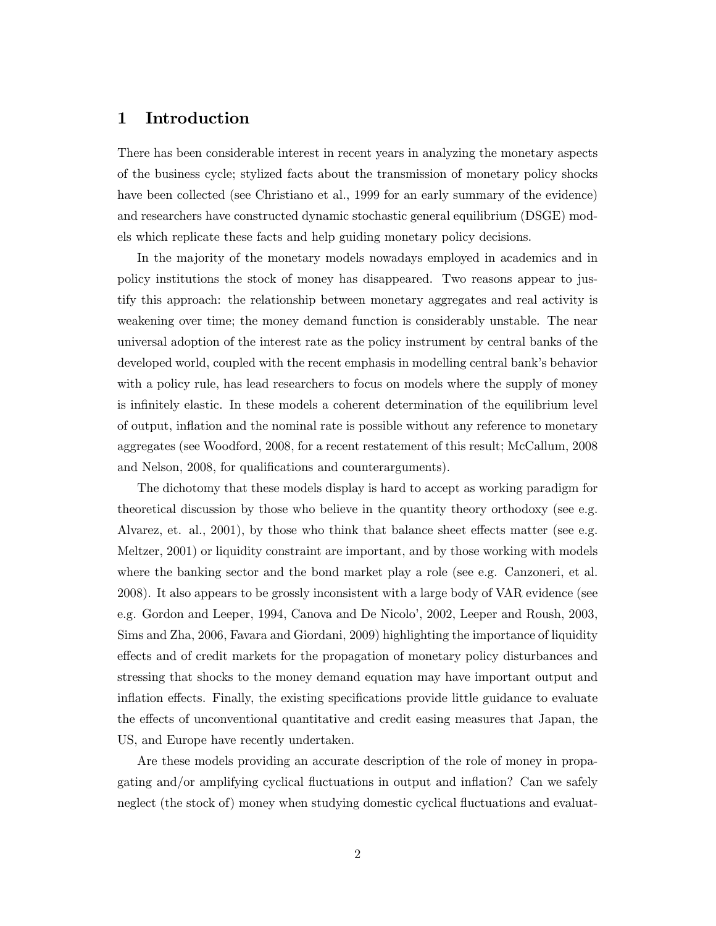### 1 Introduction

There has been considerable interest in recent years in analyzing the monetary aspects of the business cycle; stylized facts about the transmission of monetary policy shocks have been collected (see Christiano et al., 1999 for an early summary of the evidence) and researchers have constructed dynamic stochastic general equilibrium (DSGE) models which replicate these facts and help guiding monetary policy decisions.

In the majority of the monetary models nowadays employed in academics and in policy institutions the stock of money has disappeared. Two reasons appear to justify this approach: the relationship between monetary aggregates and real activity is weakening over time; the money demand function is considerably unstable. The near universal adoption of the interest rate as the policy instrument by central banks of the developed world, coupled with the recent emphasis in modelling central bank's behavior with a policy rule, has lead researchers to focus on models where the supply of money is infinitely elastic. In these models a coherent determination of the equilibrium level of output, ináation and the nominal rate is possible without any reference to monetary aggregates (see Woodford, 2008, for a recent restatement of this result; McCallum, 2008 and Nelson, 2008, for qualifications and counterarguments).

The dichotomy that these models display is hard to accept as working paradigm for theoretical discussion by those who believe in the quantity theory orthodoxy (see e.g. Alvarez, et. al., 2001), by those who think that balance sheet effects matter (see e.g. Meltzer, 2001) or liquidity constraint are important, and by those working with models where the banking sector and the bond market play a role (see e.g. Canzoneri, et al. 2008). It also appears to be grossly inconsistent with a large body of VAR evidence (see e.g. Gordon and Leeper, 1994, Canova and De Nicolo<sup>'</sup>, 2002, Leeper and Roush, 2003, Sims and Zha, 2006, Favara and Giordani, 2009) highlighting the importance of liquidity effects and of credit markets for the propagation of monetary policy disturbances and stressing that shocks to the money demand equation may have important output and inflation effects. Finally, the existing specifications provide little guidance to evaluate the effects of unconventional quantitative and credit easing measures that Japan, the US, and Europe have recently undertaken.

Are these models providing an accurate description of the role of money in propagating and/or amplifying cyclical fluctuations in output and inflation? Can we safely neglect (the stock of) money when studying domestic cyclical áuctuations and evaluat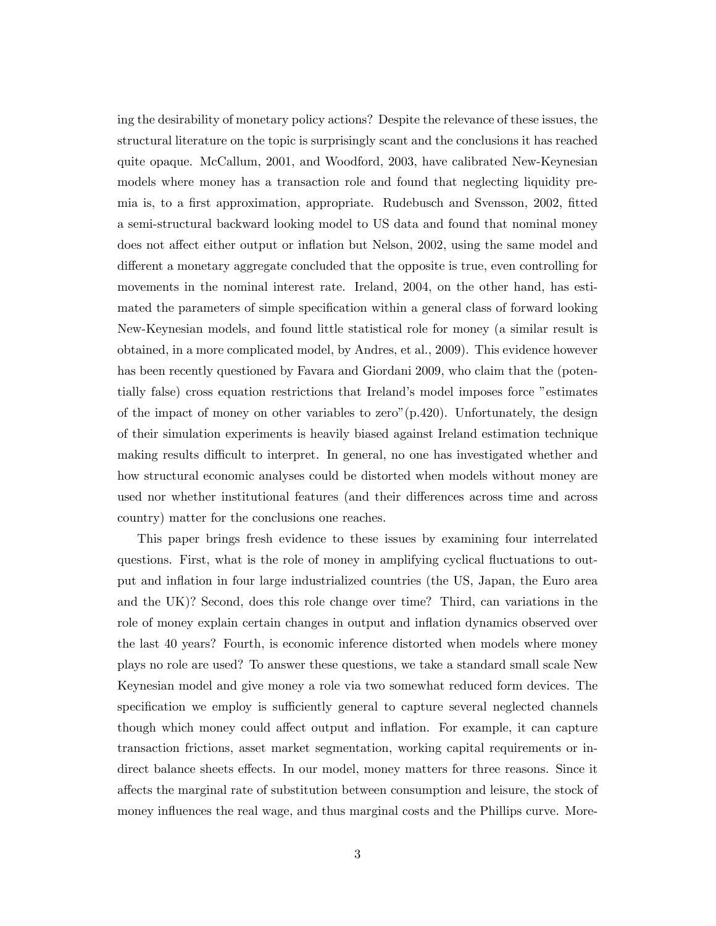ing the desirability of monetary policy actions? Despite the relevance of these issues, the structural literature on the topic is surprisingly scant and the conclusions it has reached quite opaque. McCallum, 2001, and Woodford, 2003, have calibrated New-Keynesian models where money has a transaction role and found that neglecting liquidity premia is, to a first approximation, appropriate. Rudebusch and Svensson, 2002, fitted a semi-structural backward looking model to US data and found that nominal money does not affect either output or inflation but Nelson, 2002, using the same model and different a monetary aggregate concluded that the opposite is true, even controlling for movements in the nominal interest rate. Ireland, 2004, on the other hand, has estimated the parameters of simple specification within a general class of forward looking New-Keynesian models, and found little statistical role for money (a similar result is obtained, in a more complicated model, by Andres, et al., 2009). This evidence however has been recently questioned by Favara and Giordani 2009, who claim that the (potentially false) cross equation restrictions that Ireland's model imposes force "estimates" of the impact of money on other variables to zero" $(p.420)$ . Unfortunately, the design of their simulation experiments is heavily biased against Ireland estimation technique making results difficult to interpret. In general, no one has investigated whether and how structural economic analyses could be distorted when models without money are used nor whether institutional features (and their differences across time and across country) matter for the conclusions one reaches.

This paper brings fresh evidence to these issues by examining four interrelated questions. First, what is the role of money in amplifying cyclical fluctuations to output and ináation in four large industrialized countries (the US, Japan, the Euro area and the UK)? Second, does this role change over time? Third, can variations in the role of money explain certain changes in output and inflation dynamics observed over the last 40 years? Fourth, is economic inference distorted when models where money plays no role are used? To answer these questions, we take a standard small scale New Keynesian model and give money a role via two somewhat reduced form devices. The specification we employ is sufficiently general to capture several neglected channels though which money could affect output and inflation. For example, it can capture transaction frictions, asset market segmentation, working capital requirements or indirect balance sheets effects. In our model, money matters for three reasons. Since it affects the marginal rate of substitution between consumption and leisure, the stock of money influences the real wage, and thus marginal costs and the Phillips curve. More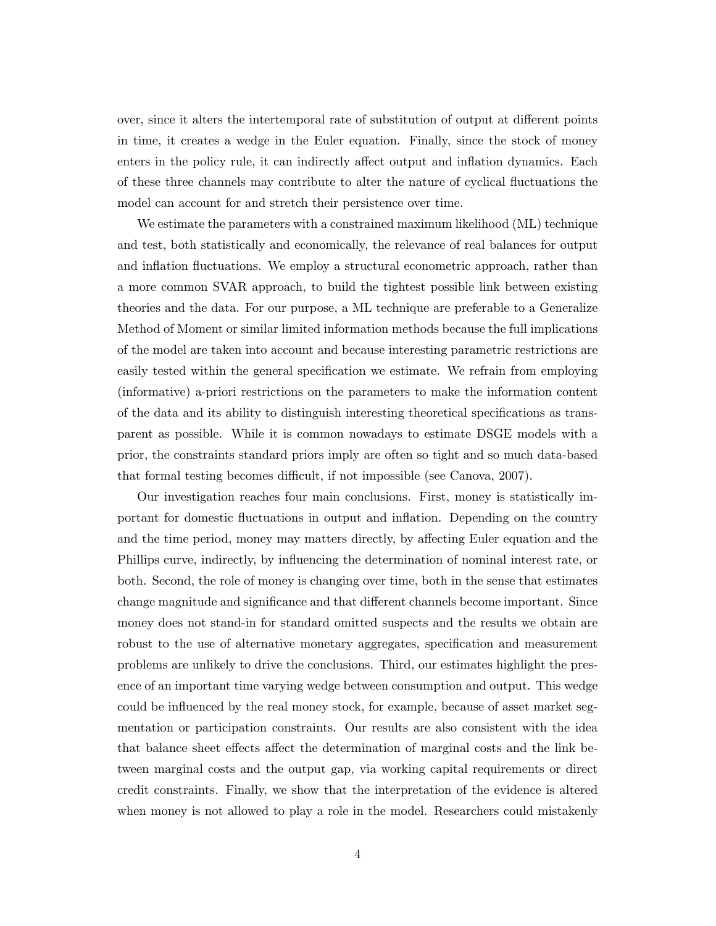over, since it alters the intertemporal rate of substitution of output at different points in time, it creates a wedge in the Euler equation. Finally, since the stock of money enters in the policy rule, it can indirectly affect output and inflation dynamics. Each of these three channels may contribute to alter the nature of cyclical áuctuations the model can account for and stretch their persistence over time.

We estimate the parameters with a constrained maximum likelihood (ML) technique and test, both statistically and economically, the relevance of real balances for output and inflation fluctuations. We employ a structural econometric approach, rather than a more common SVAR approach, to build the tightest possible link between existing theories and the data. For our purpose, a ML technique are preferable to a Generalize Method of Moment or similar limited information methods because the full implications of the model are taken into account and because interesting parametric restrictions are easily tested within the general specification we estimate. We refrain from employing (informative) a-priori restrictions on the parameters to make the information content of the data and its ability to distinguish interesting theoretical specifications as transparent as possible. While it is common nowadays to estimate DSGE models with a prior, the constraints standard priors imply are often so tight and so much data-based that formal testing becomes difficult, if not impossible (see Canova,  $2007$ ).

Our investigation reaches four main conclusions. First, money is statistically important for domestic fluctuations in output and inflation. Depending on the country and the time period, money may matters directly, by affecting Euler equation and the Phillips curve, indirectly, by influencing the determination of nominal interest rate, or both. Second, the role of money is changing over time, both in the sense that estimates change magnitude and significance and that different channels become important. Since money does not stand-in for standard omitted suspects and the results we obtain are robust to the use of alternative monetary aggregates, specification and measurement problems are unlikely to drive the conclusions. Third, our estimates highlight the presence of an important time varying wedge between consumption and output. This wedge could be influenced by the real money stock, for example, because of asset market segmentation or participation constraints. Our results are also consistent with the idea that balance sheet effects affect the determination of marginal costs and the link between marginal costs and the output gap, via working capital requirements or direct credit constraints. Finally, we show that the interpretation of the evidence is altered when money is not allowed to play a role in the model. Researchers could mistakenly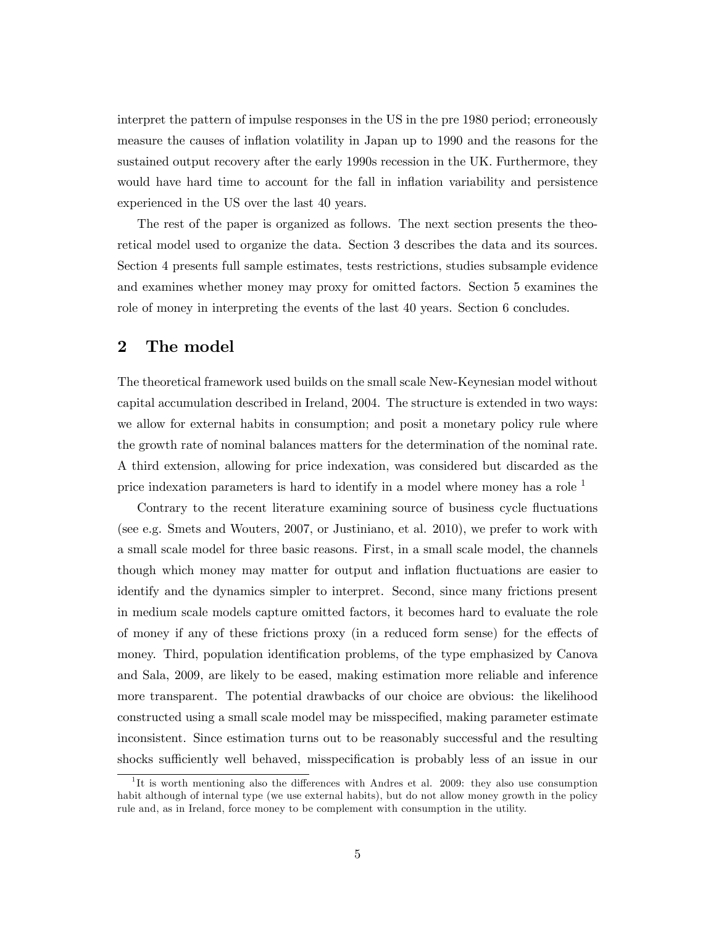interpret the pattern of impulse responses in the US in the pre 1980 period; erroneously measure the causes of inflation volatility in Japan up to 1990 and the reasons for the sustained output recovery after the early 1990s recession in the UK. Furthermore, they would have hard time to account for the fall in inflation variability and persistence experienced in the US over the last 40 years.

The rest of the paper is organized as follows. The next section presents the theoretical model used to organize the data. Section 3 describes the data and its sources. Section 4 presents full sample estimates, tests restrictions, studies subsample evidence and examines whether money may proxy for omitted factors. Section 5 examines the role of money in interpreting the events of the last 40 years. Section 6 concludes.

### 2 The model

The theoretical framework used builds on the small scale New-Keynesian model without capital accumulation described in Ireland, 2004. The structure is extended in two ways: we allow for external habits in consumption; and posit a monetary policy rule where the growth rate of nominal balances matters for the determination of the nominal rate. A third extension, allowing for price indexation, was considered but discarded as the price indexation parameters is hard to identify in a model where money has a role  $<sup>1</sup>$ </sup>

Contrary to the recent literature examining source of business cycle fluctuations (see e.g. Smets and Wouters, 2007, or Justiniano, et al. 2010), we prefer to work with a small scale model for three basic reasons. First, in a small scale model, the channels though which money may matter for output and inflation fluctuations are easier to identify and the dynamics simpler to interpret. Second, since many frictions present in medium scale models capture omitted factors, it becomes hard to evaluate the role of money if any of these frictions proxy (in a reduced form sense) for the effects of money. Third, population identification problems, of the type emphasized by Canova and Sala, 2009, are likely to be eased, making estimation more reliable and inference more transparent. The potential drawbacks of our choice are obvious: the likelihood constructed using a small scale model may be misspecified, making parameter estimate inconsistent. Since estimation turns out to be reasonably successful and the resulting shocks sufficiently well behaved, misspecification is probably less of an issue in our

<sup>&</sup>lt;sup>1</sup>It is worth mentioning also the differences with Andres et al. 2009: they also use consumption habit although of internal type (we use external habits), but do not allow money growth in the policy rule and, as in Ireland, force money to be complement with consumption in the utility.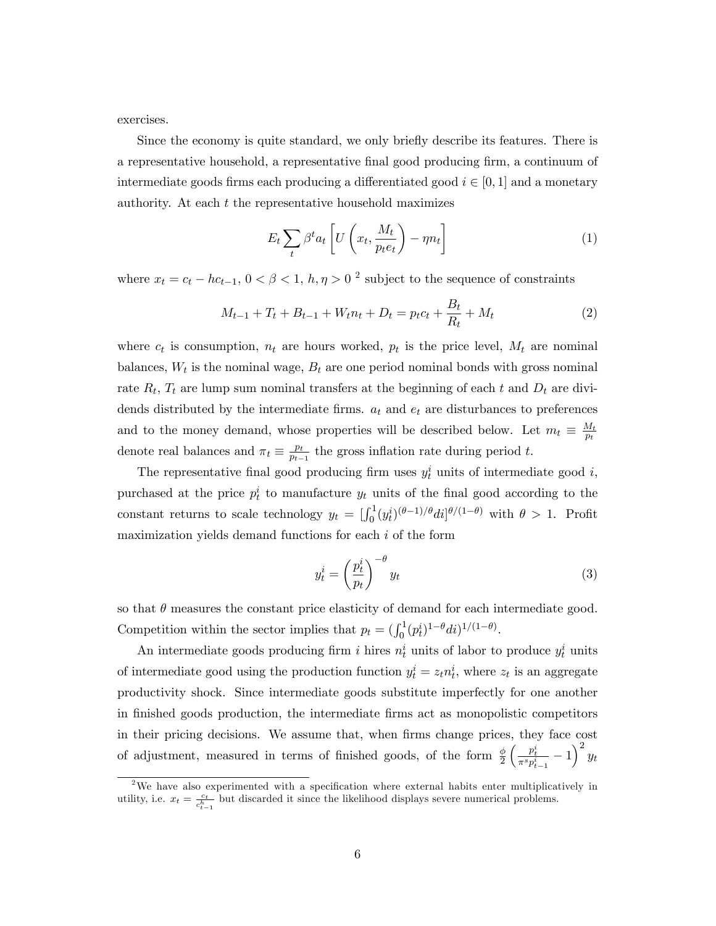exercises.

Since the economy is quite standard, we only briefly describe its features. There is a representative household, a representative Önal good producing Örm, a continuum of intermediate goods firms each producing a differentiated good  $i \in [0, 1]$  and a monetary authority. At each t the representative household maximizes

$$
E_t \sum_t \beta^t a_t \left[ U \left( x_t, \frac{M_t}{p_t e_t} \right) - \eta n_t \right] \tag{1}
$$

where  $x_t = c_t - hc_{t-1}$ ,  $0 < \beta < 1$ ,  $h, \eta > 0$  <sup>2</sup> subject to the sequence of constraints

$$
M_{t-1} + T_t + B_{t-1} + W_t n_t + D_t = p_t c_t + \frac{B_t}{R_t} + M_t
$$
\n(2)

where  $c_t$  is consumption,  $n_t$  are hours worked,  $p_t$  is the price level,  $M_t$  are nominal balances,  $W_t$  is the nominal wage,  $B_t$  are one period nominal bonds with gross nominal rate  $R_t$ ,  $T_t$  are lump sum nominal transfers at the beginning of each t and  $D_t$  are dividends distributed by the intermediate firms.  $a_t$  and  $e_t$  are disturbances to preferences and to the money demand, whose properties will be described below. Let  $m_t \equiv \frac{M_t}{p_t}$  $\overline{p_t}$ denote real balances and  $\pi_t \equiv \frac{p_t}{p_{t-1}}$  $\frac{p_t}{p_{t-1}}$  the gross inflation rate during period t.

The representative final good producing firm uses  $y_t^i$  units of intermediate good i, purchased at the price  $p_t^i$  to manufacture  $y_t$  units of the final good according to the constant returns to scale technology  $y_t = \left[\int_0^1 (y_t^i)^{(\theta-1)/\theta} di\right]_0^{\theta/(1-\theta)}$  with  $\theta > 1$ . Profit maximization yields demand functions for each i of the form

$$
y_t^i = \left(\frac{p_t^i}{p_t}\right)^{-\theta} y_t \tag{3}
$$

so that  $\theta$  measures the constant price elasticity of demand for each intermediate good. Competition within the sector implies that  $p_t = (\int_0^1 (p_t^i)^{1-\theta} di)^{1/(1-\theta)}$ .

An intermediate goods producing firm i hires  $n_t^i$  units of labor to produce  $y_t^i$  units of intermediate good using the production function  $y_t^i = z_t n_t^i$ , where  $z_t$  is an aggregate productivity shock. Since intermediate goods substitute imperfectly for one another in Önished goods production, the intermediate Örms act as monopolistic competitors in their pricing decisions. We assume that, when firms change prices, they face cost of adjustment, measured in terms of finished goods, of the form  $\frac{\phi}{2}$  $\left(\frac{p_t^i}{\pi^s p_{t-1}^i} - 1\right)^2 y_t$ 

<sup>&</sup>lt;sup>2</sup>We have also experimented with a specification where external habits enter multiplicatively in utility, i.e.  $x_t = \frac{c_t}{c_{t-1}^h}$  but discarded it since the likelihood displays severe numerical problems.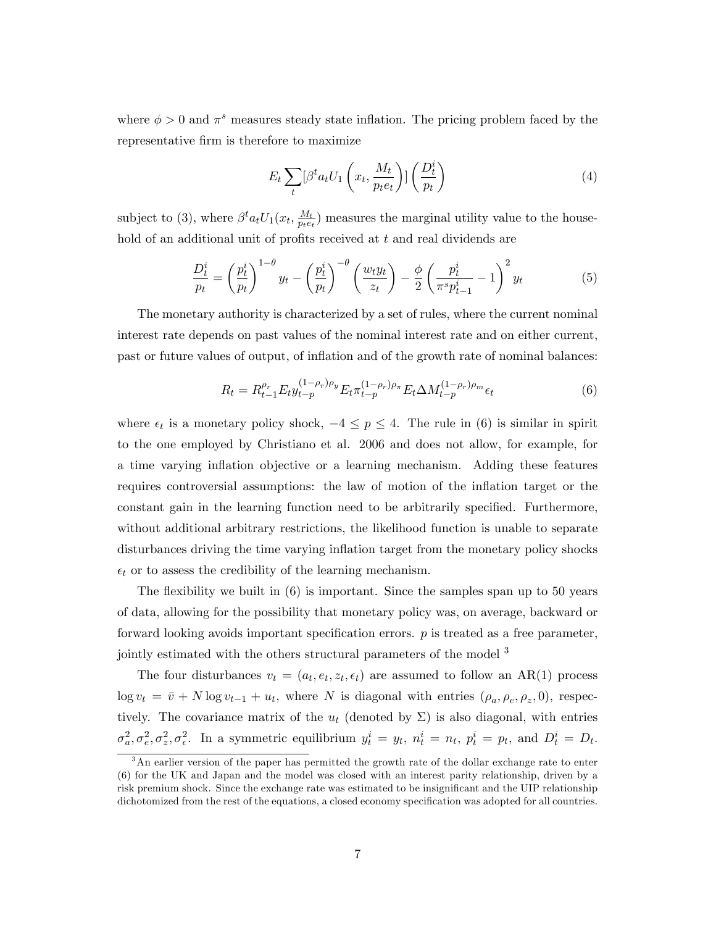where  $\phi > 0$  and  $\pi^s$  measures steady state inflation. The pricing problem faced by the representative firm is therefore to maximize

$$
E_t \sum_t [\beta^t a_t U_1 \left(x_t, \frac{M_t}{p_t e_t}\right)] \left(\frac{D_t^i}{p_t}\right) \tag{4}
$$

subject to (3), where  $\beta^t a_t U_1(x_t, \frac{M_t}{n_t e_t})$  $\frac{M_t}{p_t e_t}$ ) measures the marginal utility value to the household of an additional unit of profits received at  $t$  and real dividends are

$$
\frac{D_t^i}{p_t} = \left(\frac{p_t^i}{p_t}\right)^{1-\theta} y_t - \left(\frac{p_t^i}{p_t}\right)^{-\theta} \left(\frac{w_t y_t}{z_t}\right) - \frac{\phi}{2} \left(\frac{p_t^i}{\pi^s p_{t-1}^i} - 1\right)^2 y_t \tag{5}
$$

The monetary authority is characterized by a set of rules, where the current nominal interest rate depends on past values of the nominal interest rate and on either current, past or future values of output, of ináation and of the growth rate of nominal balances:

$$
R_t = R_{t-1}^{\rho_r} E_t y_{t-p}^{(1-\rho_r)\rho_y} E_t \pi_{t-p}^{(1-\rho_r)\rho_\pi} E_t \Delta M_{t-p}^{(1-\rho_r)\rho_m} \epsilon_t \tag{6}
$$

where  $\epsilon_t$  is a monetary policy shock,  $-4 \le p \le 4$ . The rule in (6) is similar in spirit to the one employed by Christiano et al. 2006 and does not allow, for example, for a time varying ináation objective or a learning mechanism. Adding these features requires controversial assumptions: the law of motion of the inflation target or the constant gain in the learning function need to be arbitrarily specified. Furthermore, without additional arbitrary restrictions, the likelihood function is unable to separate disturbances driving the time varying ináation target from the monetary policy shocks  $\epsilon_t$  or to assess the credibility of the learning mechanism.

The flexibility we built in  $(6)$  is important. Since the samples span up to 50 years of data, allowing for the possibility that monetary policy was, on average, backward or forward looking avoids important specification errors.  $p$  is treated as a free parameter, jointly estimated with the others structural parameters of the model <sup>3</sup>

The four disturbances  $v_t = (a_t, e_t, z_t, \epsilon_t)$  are assumed to follow an AR(1) process  $\log v_t = \bar{v} + N \log v_{t-1} + u_t$ , where N is diagonal with entries  $(\rho_a, \rho_e, \rho_z, 0)$ , respectively. The covariance matrix of the  $u_t$  (denoted by  $\Sigma$ ) is also diagonal, with entries  $\sigma_a^2, \sigma_e^2, \sigma_\epsilon^2, \sigma_\epsilon^2$ . In a symmetric equilibrium  $y_t^i = y_t$ ,  $n_t^i = n_t$ ,  $p_t^i = p_t$ , and  $D_t^i = D_t$ .

<sup>&</sup>lt;sup>3</sup>An earlier version of the paper has permitted the growth rate of the dollar exchange rate to enter (6) for the UK and Japan and the model was closed with an interest parity relationship, driven by a risk premium shock. Since the exchange rate was estimated to be insignificant and the UIP relationship dichotomized from the rest of the equations, a closed economy specification was adopted for all countries.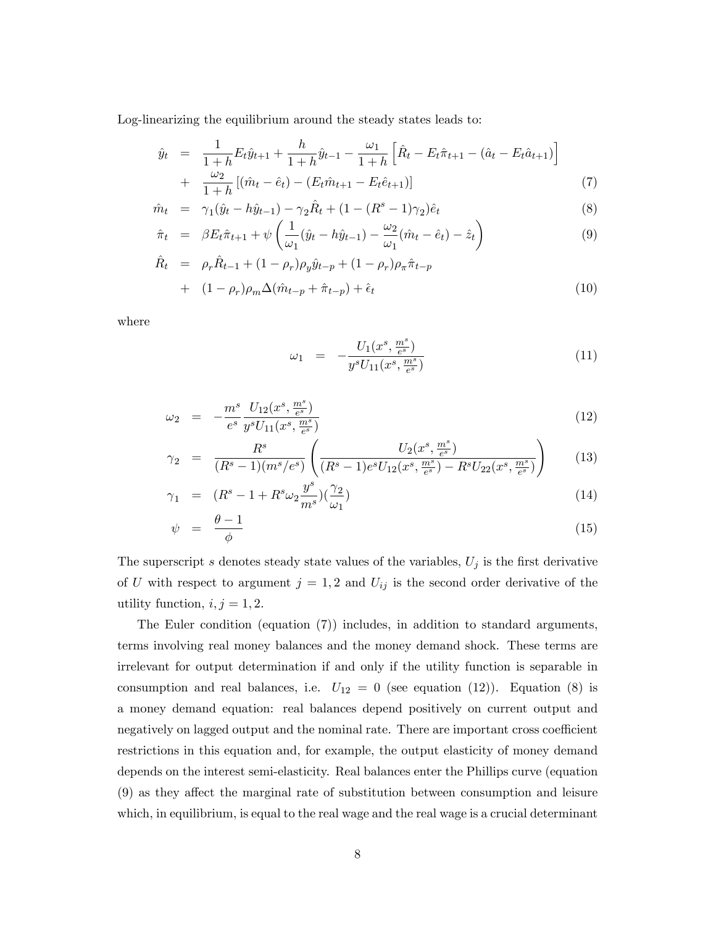Log-linearizing the equilibrium around the steady states leads to:

$$
\hat{y}_t = \frac{1}{1+h} E_t \hat{y}_{t+1} + \frac{h}{1+h} \hat{y}_{t-1} - \frac{\omega_1}{1+h} \left[ \hat{R}_t - E_t \hat{\pi}_{t+1} - (\hat{a}_t - E_t \hat{a}_{t+1}) \right] \n+ \frac{\omega_2}{1+h} \left[ (\hat{m}_t - \hat{e}_t) - (E_t \hat{m}_{t+1} - E_t \hat{e}_{t+1}) \right]
$$
\n(7)

$$
\hat{m}_t = \gamma_1(\hat{y}_t - h\hat{y}_{t-1}) - \gamma_2 \hat{R}_t + (1 - (R^s - 1)\gamma_2)\hat{e}_t \tag{8}
$$

$$
\hat{\pi}_t = \beta E_t \hat{\pi}_{t+1} + \psi \left( \frac{1}{\omega_1} (\hat{y}_t - h \hat{y}_{t-1}) - \frac{\omega_2}{\omega_1} (\hat{m}_t - \hat{e}_t) - \hat{z}_t \right)
$$
\n(9)

$$
\hat{R}_t = \rho_r \hat{R}_{t-1} + (1 - \rho_r) \rho_y \hat{y}_{t-p} + (1 - \rho_r) \rho_\pi \hat{\pi}_{t-p} \n+ (1 - \rho_r) \rho_m \Delta (\hat{m}_{t-p} + \hat{\pi}_{t-p}) + \hat{\epsilon}_t
$$
\n(10)

where

$$
\omega_1 = -\frac{U_1(x^s, \frac{m^s}{e^s})}{y^s U_{11}(x^s, \frac{m^s}{e^s})}
$$
\n(11)

$$
\omega_2 = -\frac{m^s}{e^s} \frac{U_{12}(x^s, \frac{m^s}{e^s})}{y^s U_{11}(x^s, \frac{m^s}{e^s})}
$$
(12)

$$
\gamma_2 = \frac{R^s}{(R^s - 1)(m^s/e^s)} \left( \frac{U_2(x^s, \frac{m^s}{e^s})}{(R^s - 1)e^s U_{12}(x^s, \frac{m^s}{e^s}) - R^s U_{22}(x^s, \frac{m^s}{e^s})} \right)
$$
(13)

$$
\gamma_1 = (R^s - 1 + R^s \omega_2 \frac{y^s}{m^s}) \left(\frac{\gamma_2}{\omega_1}\right)
$$
\n(14)

$$
\psi = \frac{\theta - 1}{\phi} \tag{15}
$$

The superscript s denotes steady state values of the variables,  $U_j$  is the first derivative of U with respect to argument  $j = 1, 2$  and  $U_{ij}$  is the second order derivative of the utility function,  $i, j = 1, 2$ .

The Euler condition (equation (7)) includes, in addition to standard arguments, terms involving real money balances and the money demand shock. These terms are irrelevant for output determination if and only if the utility function is separable in consumption and real balances, i.e.  $U_{12} = 0$  (see equation (12)). Equation (8) is a money demand equation: real balances depend positively on current output and negatively on lagged output and the nominal rate. There are important cross coefficient restrictions in this equation and, for example, the output elasticity of money demand depends on the interest semi-elasticity. Real balances enter the Phillips curve (equation  $(9)$  as they affect the marginal rate of substitution between consumption and leisure which, in equilibrium, is equal to the real wage and the real wage is a crucial determinant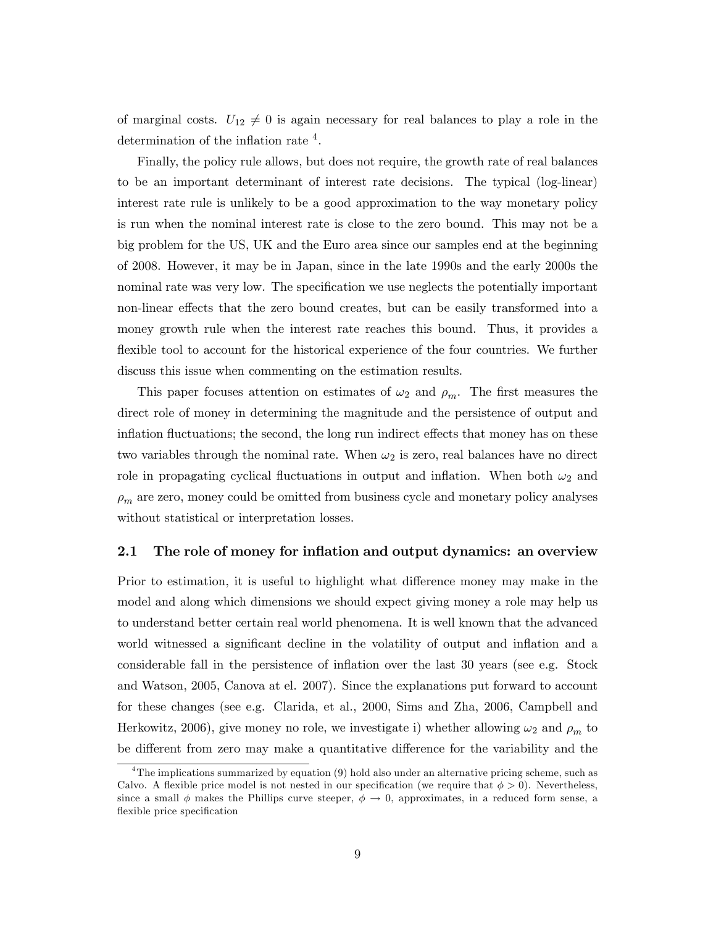of marginal costs.  $U_{12} \neq 0$  is again necessary for real balances to play a role in the determination of the inflation rate  $4$ .

Finally, the policy rule allows, but does not require, the growth rate of real balances to be an important determinant of interest rate decisions. The typical (log-linear) interest rate rule is unlikely to be a good approximation to the way monetary policy is run when the nominal interest rate is close to the zero bound. This may not be a big problem for the US, UK and the Euro area since our samples end at the beginning of 2008. However, it may be in Japan, since in the late 1990s and the early 2000s the nominal rate was very low. The specification we use neglects the potentially important non-linear effects that the zero bound creates, but can be easily transformed into a money growth rule when the interest rate reaches this bound. Thus, it provides a flexible tool to account for the historical experience of the four countries. We further discuss this issue when commenting on the estimation results.

This paper focuses attention on estimates of  $\omega_2$  and  $\rho_m$ . The first measures the direct role of money in determining the magnitude and the persistence of output and inflation fluctuations; the second, the long run indirect effects that money has on these two variables through the nominal rate. When  $\omega_2$  is zero, real balances have no direct role in propagating cyclical fluctuations in output and inflation. When both  $\omega_2$  and  $\rho_m$  are zero, money could be omitted from business cycle and monetary policy analyses without statistical or interpretation losses.

#### 2.1 The role of money for inflation and output dynamics: an overview

Prior to estimation, it is useful to highlight what difference money may make in the model and along which dimensions we should expect giving money a role may help us to understand better certain real world phenomena. It is well known that the advanced world witnessed a significant decline in the volatility of output and inflation and a considerable fall in the persistence of inflation over the last 30 years (see e.g. Stock and Watson, 2005, Canova at el. 2007). Since the explanations put forward to account for these changes (see e.g. Clarida, et al., 2000, Sims and Zha, 2006, Campbell and Herkowitz, 2006), give money no role, we investigate i) whether allowing  $\omega_2$  and  $\rho_m$  to be different from zero may make a quantitative difference for the variability and the

<sup>&</sup>lt;sup>4</sup>The implications summarized by equation (9) hold also under an alternative pricing scheme, such as Calvo. A flexible price model is not nested in our specification (we require that  $\phi > 0$ ). Nevertheless, since a small  $\phi$  makes the Phillips curve steeper,  $\phi \to 0$ , approximates, in a reduced form sense, a flexible price specification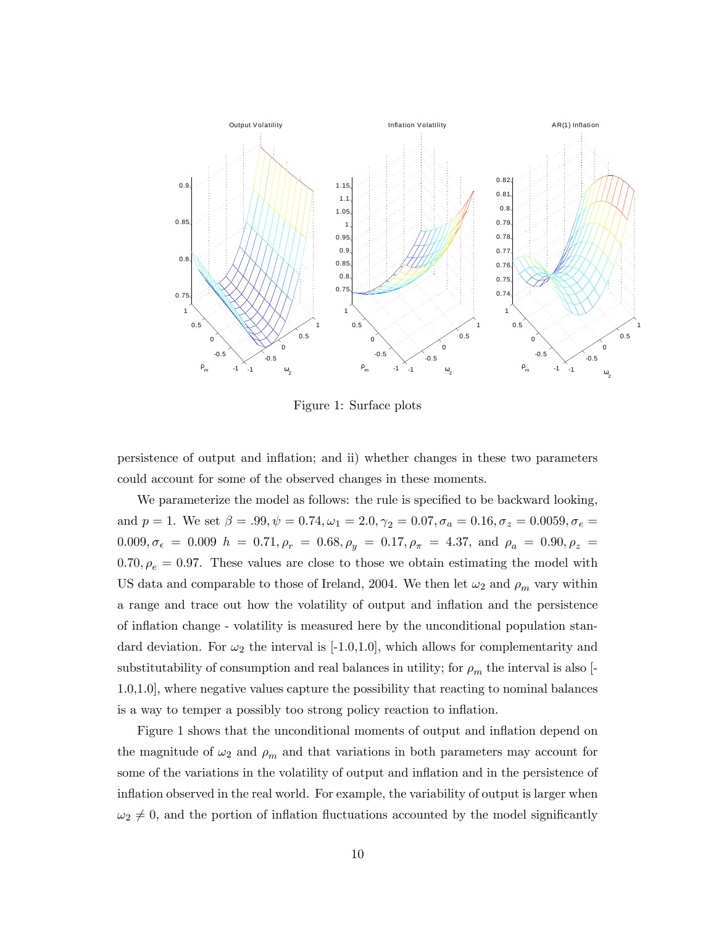

Figure 1: Surface plots

persistence of output and ináation; and ii) whether changes in these two parameters could account for some of the observed changes in these moments.

We parameterize the model as follows: the rule is specified to be backward looking, and  $p = 1$ . We set  $\beta = .99, \psi = 0.74, \omega_1 = 2.0, \gamma_2 = 0.07, \sigma_a = 0.16, \sigma_z = 0.0059, \sigma_e = 0.0059$  $0.009, \sigma_{\epsilon} = 0.009$   $h = 0.71, \rho_{r} = 0.68, \rho_{y} = 0.17, \rho_{\pi} = 4.37,$  and  $\rho_{a} = 0.90, \rho_{z} = 0.009$  $0.70, \rho_e = 0.97$ . These values are close to those we obtain estimating the model with US data and comparable to those of Ireland, 2004. We then let  $\omega_2$  and  $\rho_m$  vary within a range and trace out how the volatility of output and ináation and the persistence of ináation change - volatility is measured here by the unconditional population standard deviation. For  $\omega_2$  the interval is [-1.0,1.0], which allows for complementarity and substitutability of consumption and real balances in utility; for  $\rho_m$  the interval is also [-1.0,1.0], where negative values capture the possibility that reacting to nominal balances is a way to temper a possibly too strong policy reaction to inflation.

Figure 1 shows that the unconditional moments of output and inflation depend on the magnitude of  $\omega_2$  and  $\rho_m$  and that variations in both parameters may account for some of the variations in the volatility of output and inflation and in the persistence of inflation observed in the real world. For example, the variability of output is larger when  $\omega_2 \neq 0$ , and the portion of inflation fluctuations accounted by the model significantly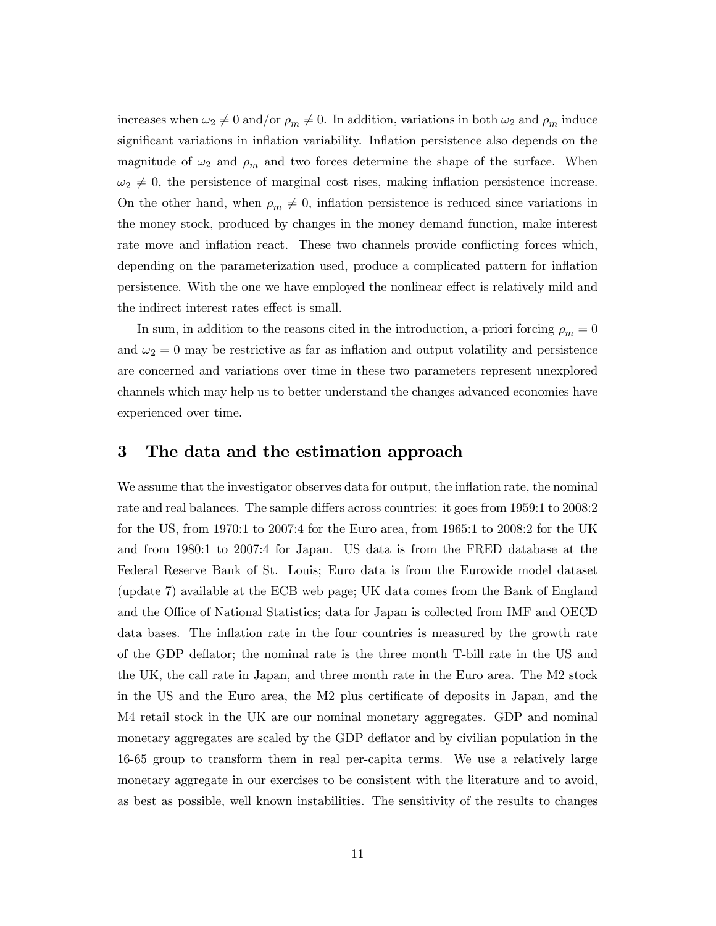increases when  $\omega_2 \neq 0$  and/or  $\rho_m \neq 0$ . In addition, variations in both  $\omega_2$  and  $\rho_m$  induce significant variations in inflation variability. Inflation persistence also depends on the magnitude of  $\omega_2$  and  $\rho_m$  and two forces determine the shape of the surface. When  $\omega_2 \neq 0$ , the persistence of marginal cost rises, making inflation persistence increase. On the other hand, when  $\rho_m \neq 0$ , inflation persistence is reduced since variations in the money stock, produced by changes in the money demand function, make interest rate move and inflation react. These two channels provide conflicting forces which, depending on the parameterization used, produce a complicated pattern for inflation persistence. With the one we have employed the nonlinear effect is relatively mild and the indirect interest rates effect is small.

In sum, in addition to the reasons cited in the introduction, a-priori forcing  $\rho_m = 0$ and  $\omega_2 = 0$  may be restrictive as far as inflation and output volatility and persistence are concerned and variations over time in these two parameters represent unexplored channels which may help us to better understand the changes advanced economies have experienced over time.

### 3 The data and the estimation approach

We assume that the investigator observes data for output, the inflation rate, the nominal rate and real balances. The sample differs across countries: it goes from 1959:1 to 2008:2 for the US, from 1970:1 to 2007:4 for the Euro area, from 1965:1 to 2008:2 for the UK and from 1980:1 to 2007:4 for Japan. US data is from the FRED database at the Federal Reserve Bank of St. Louis; Euro data is from the Eurowide model dataset (update 7) available at the ECB web page; UK data comes from the Bank of England and the Office of National Statistics; data for Japan is collected from IMF and OECD data bases. The inflation rate in the four countries is measured by the growth rate of the GDP deáator; the nominal rate is the three month T-bill rate in the US and the UK, the call rate in Japan, and three month rate in the Euro area. The M2 stock in the US and the Euro area, the M2 plus certificate of deposits in Japan, and the M4 retail stock in the UK are our nominal monetary aggregates. GDP and nominal monetary aggregates are scaled by the GDP deflator and by civilian population in the 16-65 group to transform them in real per-capita terms. We use a relatively large monetary aggregate in our exercises to be consistent with the literature and to avoid, as best as possible, well known instabilities. The sensitivity of the results to changes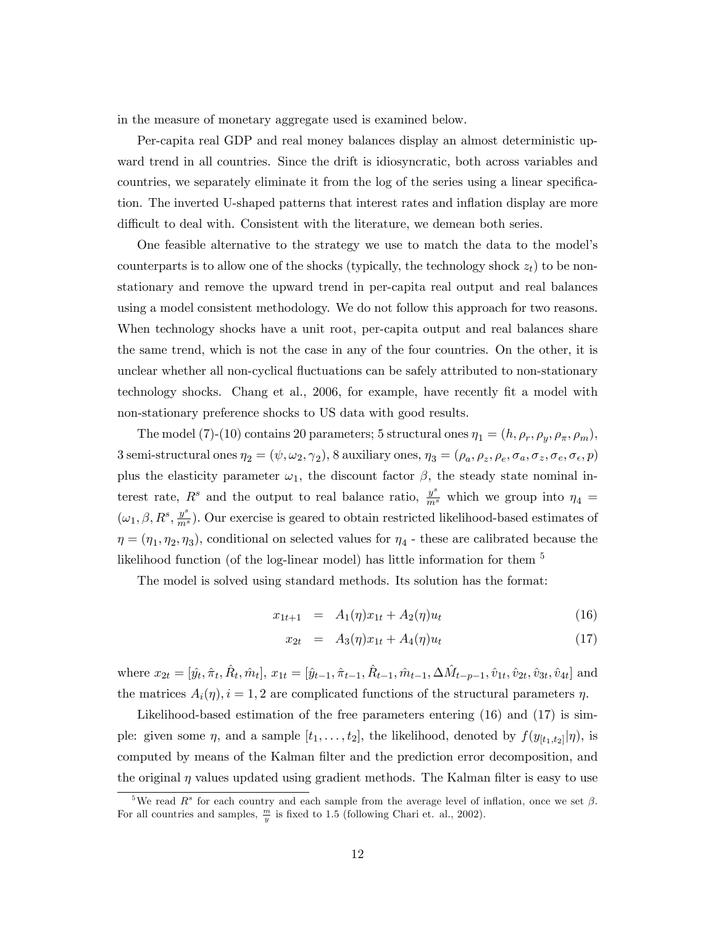in the measure of monetary aggregate used is examined below.

Per-capita real GDP and real money balances display an almost deterministic upward trend in all countries. Since the drift is idiosyncratic, both across variables and countries, we separately eliminate it from the log of the series using a linear specification. The inverted U-shaped patterns that interest rates and inflation display are more difficult to deal with. Consistent with the literature, we demean both series.

One feasible alternative to the strategy we use to match the data to the modelís counterparts is to allow one of the shocks (typically, the technology shock  $z_t$ ) to be nonstationary and remove the upward trend in per-capita real output and real balances using a model consistent methodology. We do not follow this approach for two reasons. When technology shocks have a unit root, per-capita output and real balances share the same trend, which is not the case in any of the four countries. On the other, it is unclear whether all non-cyclical fluctuations can be safely attributed to non-stationary technology shocks. Chang et al., 2006, for example, have recently fit a model with non-stationary preference shocks to US data with good results.

The model (7)-(10) contains 20 parameters; 5 structural ones  $\eta_1 = (h, \rho_r, \rho_y, \rho_\pi, \rho_m)$ , 3 semi-structural ones  $\eta_2=(\psi,\omega_2,\gamma_2),$  8 auxiliary ones,  $\eta_3=(\rho_a,\rho_z,\rho_e,\sigma_a,\sigma_z,\sigma_e,\sigma_\epsilon,p)$ plus the elasticity parameter  $\omega_1$ , the discount factor  $\beta$ , the steady state nominal interest rate,  $R^s$  and the output to real balance ratio,  $\frac{y^s}{m^s}$  which we group into  $\eta_4$  =  $(\omega_1, \beta, R^s, \frac{y^s}{m^s})$ . Our exercise is geared to obtain restricted likelihood-based estimates of  $\eta = (\eta_1, \eta_2, \eta_3)$ , conditional on selected values for  $\eta_4$  - these are calibrated because the likelihood function (of the log-linear model) has little information for them <sup>5</sup>

The model is solved using standard methods. Its solution has the format:

$$
x_{1t+1} = A_1(\eta)x_{1t} + A_2(\eta)u_t \tag{16}
$$

$$
x_{2t} = A_3(\eta)x_{1t} + A_4(\eta)u_t \tag{17}
$$

where  $x_{2t} = [\hat{y}_t, \hat{\pi}_t, \hat{R}_t, \hat{m}_t], x_{1t} = [\hat{y}_{t-1}, \hat{\pi}_{t-1}, \hat{R}_{t-1}, \hat{m}_{t-1}, \Delta \hat{M}_{t-p-1}, \hat{v}_{1t}, \hat{v}_{2t}, \hat{v}_{3t}, \hat{v}_{4t}]$  and the matrices  $A_i(\eta), i = 1, 2$  are complicated functions of the structural parameters  $\eta$ .

Likelihood-based estimation of the free parameters entering (16) and (17) is simple: given some  $\eta$ , and a sample  $[t_1, \ldots, t_2]$ , the likelihood, denoted by  $f(y_{[t_1,t_2]}|\eta)$ , is computed by means of the Kalman filter and the prediction error decomposition, and the original  $\eta$  values updated using gradient methods. The Kalman filter is easy to use

<sup>&</sup>lt;sup>5</sup>We read  $R^s$  for each country and each sample from the average level of inflation, once we set  $\beta$ . For all countries and samples,  $\frac{m}{y}$  is fixed to 1.5 (following Chari et. al., 2002).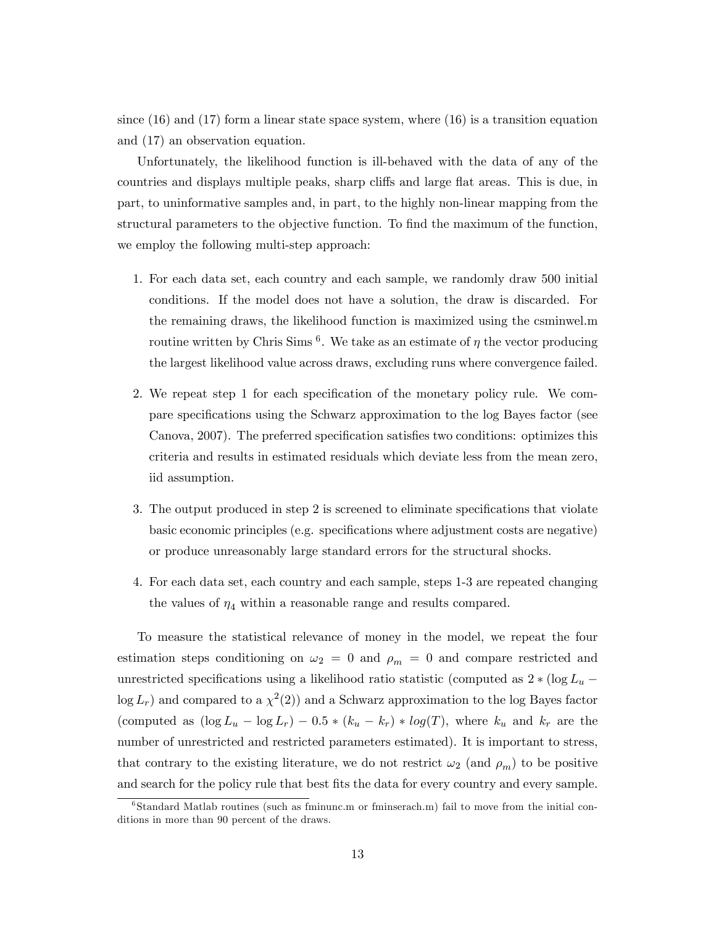since (16) and (17) form a linear state space system, where (16) is a transition equation and (17) an observation equation.

Unfortunately, the likelihood function is ill-behaved with the data of any of the countries and displays multiple peaks, sharp cliffs and large flat areas. This is due, in part, to uninformative samples and, in part, to the highly non-linear mapping from the structural parameters to the objective function. To find the maximum of the function, we employ the following multi-step approach:

- 1. For each data set, each country and each sample, we randomly draw 500 initial conditions. If the model does not have a solution, the draw is discarded. For the remaining draws, the likelihood function is maximized using the csminwel.m routine written by Chris Sims<sup>6</sup>. We take as an estimate of  $\eta$  the vector producing the largest likelihood value across draws, excluding runs where convergence failed.
- 2. We repeat step 1 for each specification of the monetary policy rule. We compare speciÖcations using the Schwarz approximation to the log Bayes factor (see Canova, 2007). The preferred specification satisfies two conditions: optimizes this criteria and results in estimated residuals which deviate less from the mean zero, iid assumption.
- 3. The output produced in step 2 is screened to eliminate specifications that violate basic economic principles (e.g. specifications where adjustment costs are negative) or produce unreasonably large standard errors for the structural shocks.
- 4. For each data set, each country and each sample, steps 1-3 are repeated changing the values of  $\eta_4$  within a reasonable range and results compared.

To measure the statistical relevance of money in the model, we repeat the four estimation steps conditioning on  $\omega_2 = 0$  and  $\rho_m = 0$  and compare restricted and unrestricted specifications using a likelihood ratio statistic (computed as  $2 * (\log L_u \log L_r$ ) and compared to a  $\chi^2(2)$ ) and a Schwarz approximation to the log Bayes factor (computed as  $(\log L_u - \log L_r) - 0.5 * (k_u - k_r) * log(T)$ , where  $k_u$  and  $k_r$  are the number of unrestricted and restricted parameters estimated). It is important to stress, that contrary to the existing literature, we do not restrict  $\omega_2$  (and  $\rho_m$ ) to be positive and search for the policy rule that best fits the data for every country and every sample.

<sup>6</sup> Standard Matlab routines (such as fminunc.m or fminserach.m) fail to move from the initial conditions in more than 90 percent of the draws.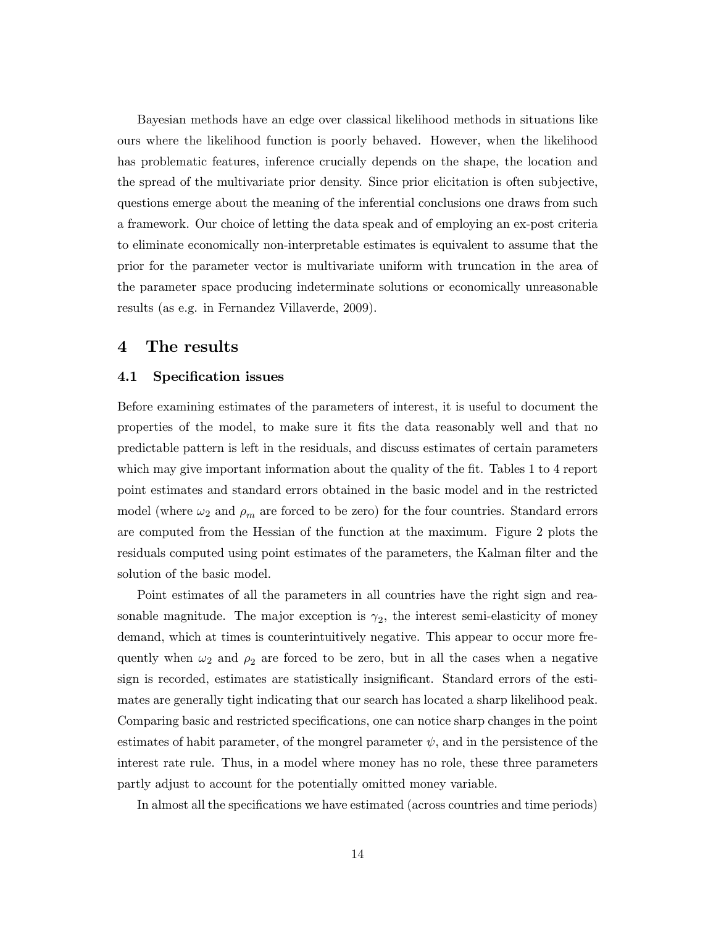Bayesian methods have an edge over classical likelihood methods in situations like ours where the likelihood function is poorly behaved. However, when the likelihood has problematic features, inference crucially depends on the shape, the location and the spread of the multivariate prior density. Since prior elicitation is often subjective, questions emerge about the meaning of the inferential conclusions one draws from such a framework. Our choice of letting the data speak and of employing an ex-post criteria to eliminate economically non-interpretable estimates is equivalent to assume that the prior for the parameter vector is multivariate uniform with truncation in the area of the parameter space producing indeterminate solutions or economically unreasonable results (as e.g. in Fernandez Villaverde, 2009).

### 4 The results

#### 4.1 Specification issues

Before examining estimates of the parameters of interest, it is useful to document the properties of the model, to make sure it Öts the data reasonably well and that no predictable pattern is left in the residuals, and discuss estimates of certain parameters which may give important information about the quality of the fit. Tables 1 to 4 report point estimates and standard errors obtained in the basic model and in the restricted model (where  $\omega_2$  and  $\rho_m$  are forced to be zero) for the four countries. Standard errors are computed from the Hessian of the function at the maximum. Figure 2 plots the residuals computed using point estimates of the parameters, the Kalman filter and the solution of the basic model.

Point estimates of all the parameters in all countries have the right sign and reasonable magnitude. The major exception is  $\gamma_2$ , the interest semi-elasticity of money demand, which at times is counterintuitively negative. This appear to occur more frequently when  $\omega_2$  and  $\rho_2$  are forced to be zero, but in all the cases when a negative sign is recorded, estimates are statistically insignificant. Standard errors of the estimates are generally tight indicating that our search has located a sharp likelihood peak. Comparing basic and restricted specifications, one can notice sharp changes in the point estimates of habit parameter, of the mongrel parameter  $\psi$ , and in the persistence of the interest rate rule. Thus, in a model where money has no role, these three parameters partly adjust to account for the potentially omitted money variable.

In almost all the specifications we have estimated (across countries and time periods)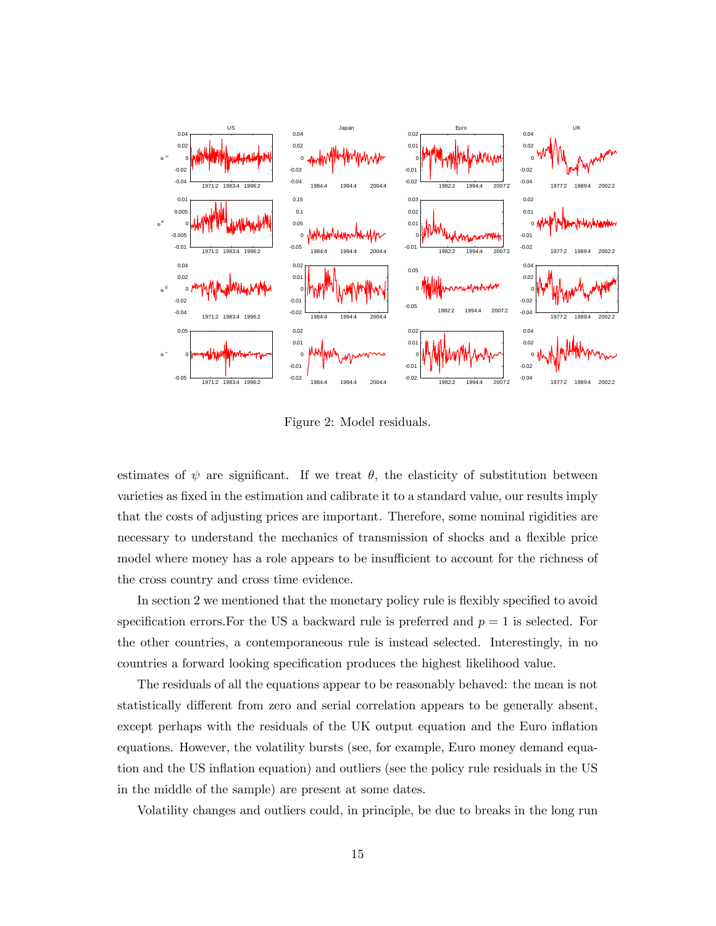

Figure 2: Model residuals.

estimates of  $\psi$  are significant. If we treat  $\theta$ , the elasticity of substitution between varieties as fixed in the estimation and calibrate it to a standard value, our results imply that the costs of adjusting prices are important. Therefore, some nominal rigidities are necessary to understand the mechanics of transmission of shocks and a flexible price model where money has a role appears to be insufficient to account for the richness of the cross country and cross time evidence.

In section 2 we mentioned that the monetary policy rule is flexibly specified to avoid specification errors. For the US a backward rule is preferred and  $p = 1$  is selected. For the other countries, a contemporaneous rule is instead selected. Interestingly, in no countries a forward looking specification produces the highest likelihood value.

The residuals of all the equations appear to be reasonably behaved: the mean is not statistically different from zero and serial correlation appears to be generally absent, except perhaps with the residuals of the UK output equation and the Euro inflation equations. However, the volatility bursts (see, for example, Euro money demand equation and the US inflation equation) and outliers (see the policy rule residuals in the US in the middle of the sample) are present at some dates.

Volatility changes and outliers could, in principle, be due to breaks in the long run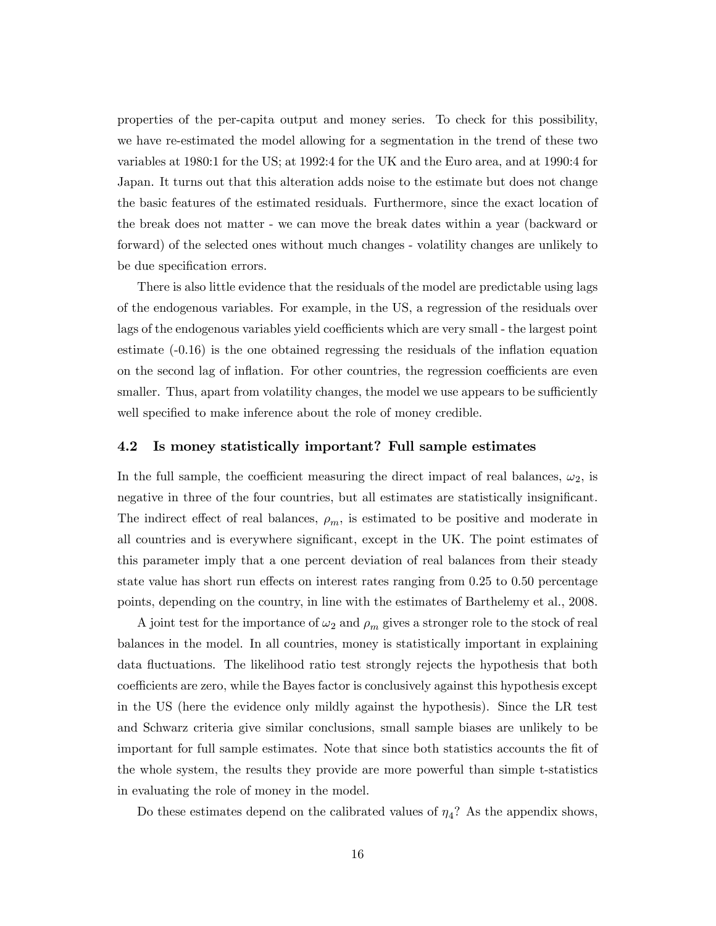properties of the per-capita output and money series. To check for this possibility, we have re-estimated the model allowing for a segmentation in the trend of these two variables at 1980:1 for the US; at 1992:4 for the UK and the Euro area, and at 1990:4 for Japan. It turns out that this alteration adds noise to the estimate but does not change the basic features of the estimated residuals. Furthermore, since the exact location of the break does not matter - we can move the break dates within a year (backward or forward) of the selected ones without much changes - volatility changes are unlikely to be due specification errors.

There is also little evidence that the residuals of the model are predictable using lags of the endogenous variables. For example, in the US, a regression of the residuals over lags of the endogenous variables yield coefficients which are very small - the largest point estimate  $(-0.16)$  is the one obtained regressing the residuals of the inflation equation on the second lag of inflation. For other countries, the regression coefficients are even smaller. Thus, apart from volatility changes, the model we use appears to be sufficiently well specified to make inference about the role of money credible.

#### 4.2 Is money statistically important? Full sample estimates

In the full sample, the coefficient measuring the direct impact of real balances,  $\omega_2$ , is negative in three of the four countries, but all estimates are statistically insignificant. The indirect effect of real balances,  $\rho_m$ , is estimated to be positive and moderate in all countries and is everywhere significant, except in the UK. The point estimates of this parameter imply that a one percent deviation of real balances from their steady state value has short run effects on interest rates ranging from  $0.25$  to  $0.50$  percentage points, depending on the country, in line with the estimates of Barthelemy et al., 2008.

A joint test for the importance of  $\omega_2$  and  $\rho_m$  gives a stronger role to the stock of real balances in the model. In all countries, money is statistically important in explaining data fluctuations. The likelihood ratio test strongly rejects the hypothesis that both coefficients are zero, while the Bayes factor is conclusively against this hypothesis except in the US (here the evidence only mildly against the hypothesis). Since the LR test and Schwarz criteria give similar conclusions, small sample biases are unlikely to be important for full sample estimates. Note that since both statistics accounts the fit of the whole system, the results they provide are more powerful than simple t-statistics in evaluating the role of money in the model.

Do these estimates depend on the calibrated values of  $\eta_4$ ? As the appendix shows,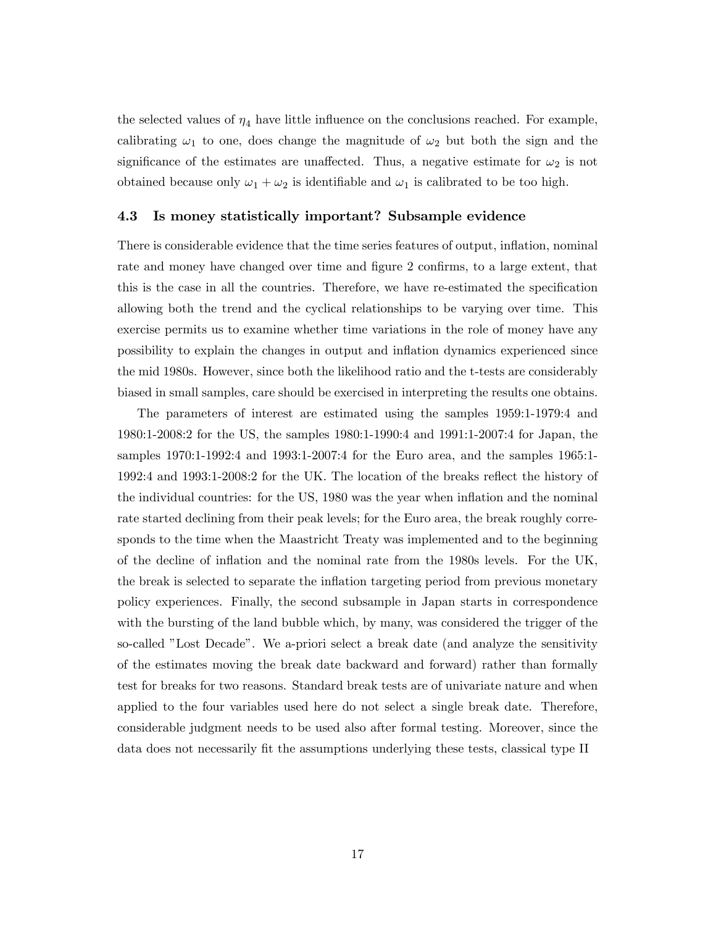the selected values of  $\eta_4$  have little influence on the conclusions reached. For example, calibrating  $\omega_1$  to one, does change the magnitude of  $\omega_2$  but both the sign and the significance of the estimates are unaffected. Thus, a negative estimate for  $\omega_2$  is not obtained because only  $\omega_1 + \omega_2$  is identifiable and  $\omega_1$  is calibrated to be too high.

### 4.3 Is money statistically important? Subsample evidence

There is considerable evidence that the time series features of output, ináation, nominal rate and money have changed over time and figure 2 confirms, to a large extent, that this is the case in all the countries. Therefore, we have re-estimated the specification allowing both the trend and the cyclical relationships to be varying over time. This exercise permits us to examine whether time variations in the role of money have any possibility to explain the changes in output and ináation dynamics experienced since the mid 1980s. However, since both the likelihood ratio and the t-tests are considerably biased in small samples, care should be exercised in interpreting the results one obtains.

The parameters of interest are estimated using the samples 1959:1-1979:4 and 1980:1-2008:2 for the US, the samples 1980:1-1990:4 and 1991:1-2007:4 for Japan, the samples 1970:1-1992:4 and 1993:1-2007:4 for the Euro area, and the samples 1965:1- 1992:4 and 1993:1-2008:2 for the UK. The location of the breaks reflect the history of the individual countries: for the US, 1980 was the year when inflation and the nominal rate started declining from their peak levels; for the Euro area, the break roughly corresponds to the time when the Maastricht Treaty was implemented and to the beginning of the decline of ináation and the nominal rate from the 1980s levels. For the UK, the break is selected to separate the inflation targeting period from previous monetary policy experiences. Finally, the second subsample in Japan starts in correspondence with the bursting of the land bubble which, by many, was considered the trigger of the so-called "Lost Decade". We a-priori select a break date (and analyze the sensitivity of the estimates moving the break date backward and forward) rather than formally test for breaks for two reasons. Standard break tests are of univariate nature and when applied to the four variables used here do not select a single break date. Therefore, considerable judgment needs to be used also after formal testing. Moreover, since the data does not necessarily fit the assumptions underlying these tests, classical type II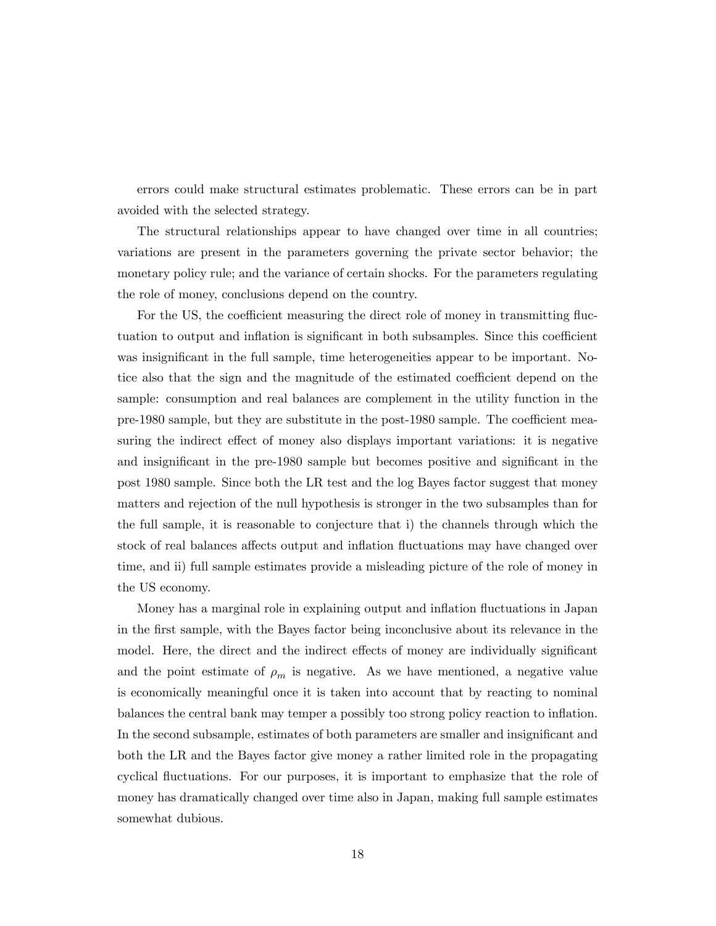errors could make structural estimates problematic. These errors can be in part avoided with the selected strategy.

The structural relationships appear to have changed over time in all countries; variations are present in the parameters governing the private sector behavior; the monetary policy rule; and the variance of certain shocks. For the parameters regulating the role of money, conclusions depend on the country.

For the US, the coefficient measuring the direct role of money in transmitting fluctuation to output and inflation is significant in both subsamples. Since this coefficient was insignificant in the full sample, time heterogeneities appear to be important. Notice also that the sign and the magnitude of the estimated coefficient depend on the sample: consumption and real balances are complement in the utility function in the pre-1980 sample, but they are substitute in the post-1980 sample. The coefficient measuring the indirect effect of money also displays important variations: it is negative and insignificant in the pre-1980 sample but becomes positive and significant in the post 1980 sample. Since both the LR test and the log Bayes factor suggest that money matters and rejection of the null hypothesis is stronger in the two subsamples than for the full sample, it is reasonable to conjecture that i) the channels through which the stock of real balances affects output and inflation fluctuations may have changed over time, and ii) full sample estimates provide a misleading picture of the role of money in the US economy.

Money has a marginal role in explaining output and inflation fluctuations in Japan in the Örst sample, with the Bayes factor being inconclusive about its relevance in the model. Here, the direct and the indirect effects of money are individually significant and the point estimate of  $\rho_m$  is negative. As we have mentioned, a negative value is economically meaningful once it is taken into account that by reacting to nominal balances the central bank may temper a possibly too strong policy reaction to ináation. In the second subsample, estimates of both parameters are smaller and insignificant and both the LR and the Bayes factor give money a rather limited role in the propagating cyclical áuctuations. For our purposes, it is important to emphasize that the role of money has dramatically changed over time also in Japan, making full sample estimates somewhat dubious.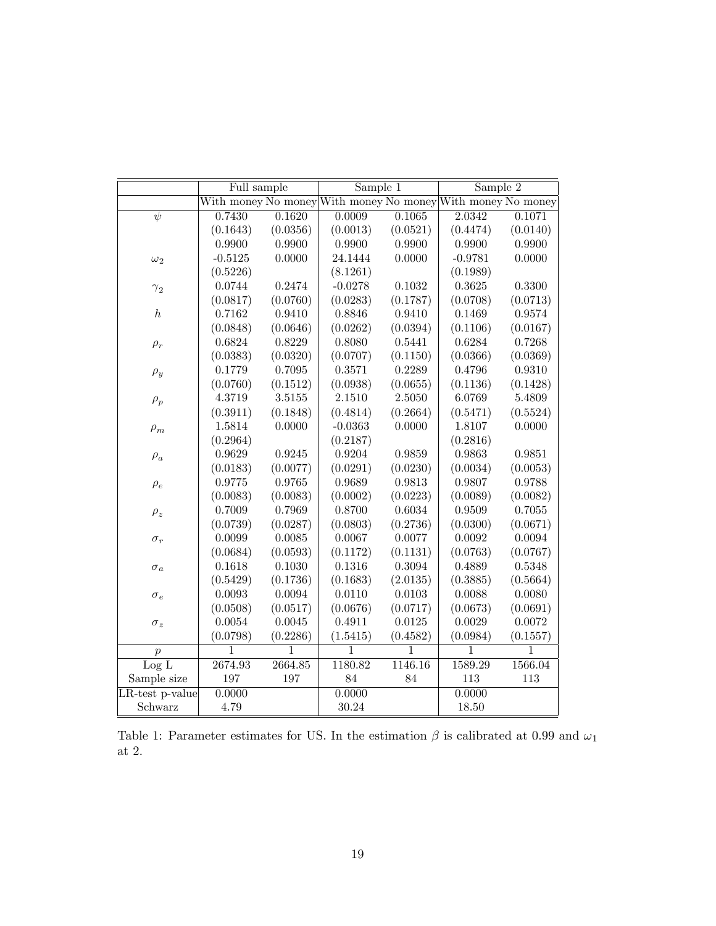|                  | Full sample         |              | Sample 1            |          | Sample 2            |          |
|------------------|---------------------|--------------|---------------------|----------|---------------------|----------|
|                  | With money No money |              | With money No money |          | With money No money |          |
| $\psi$           | 0.7430              | 0.1620       | 0.0009              | 0.1065   | 2.0342              | 0.1071   |
|                  | (0.1643)            | (0.0356)     | (0.0013)            | (0.0521) | (0.4474)            | (0.0140) |
|                  | 0.9900              | 0.9900       | 0.9900              | 0.9900   | 0.9900              | 0.9900   |
| $\omega_2$       | $-0.5125$           | 0.0000       | 24.1444             | 0.0000   | $-0.9781$           | 0.0000   |
|                  | (0.5226)            |              | (8.1261)            |          | (0.1989)            |          |
| $\gamma_2$       | 0.0744              | 0.2474       | $-0.0278$           | 0.1032   | 0.3625              | 0.3300   |
|                  | (0.0817)            | (0.0760)     | (0.0283)            | (0.1787) | (0.0708)            | (0.0713) |
| $\boldsymbol{h}$ | 0.7162              | 0.9410       | 0.8846              | 0.9410   | 0.1469              | 0.9574   |
|                  | (0.0848)            | (0.0646)     | (0.0262)            | (0.0394) | (0.1106)            | (0.0167) |
| $\rho_r$         | 0.6824              | 0.8229       | 0.8080              | 0.5441   | 0.6284              | 0.7268   |
|                  | (0.0383)            | (0.0320)     | (0.0707)            | (0.1150) | (0.0366)            | (0.0369) |
| $\rho_y$         | 0.1779              | 0.7095       | 0.3571              | 0.2289   | 0.4796              | 0.9310   |
|                  | (0.0760)            | (0.1512)     | (0.0938)            | (0.0655) | (0.1136)            | (0.1428) |
| $\rho_p$         | 4.3719              | 3.5155       | 2.1510              | 2.5050   | 6.0769              | 5.4809   |
|                  | (0.3911)            | (0.1848)     | (0.4814)            | (0.2664) | (0.5471)            | (0.5524) |
| $\rho_m$         | 1.5814              | 0.0000       | $-0.0363$           | 0.0000   | 1.8107              | 0.0000   |
|                  | (0.2964)            |              | (0.2187)            |          | (0.2816)            |          |
| $\rho_a$         | 0.9629              | 0.9245       | 0.9204              | 0.9859   | 0.9863              | 0.9851   |
|                  | (0.0183)            | (0.0077)     | (0.0291)            | (0.0230) | (0.0034)            | (0.0053) |
| $\rho_e$         | 0.9775              | 0.9765       | 0.9689              | 0.9813   | 0.9807              | 0.9788   |
|                  | (0.0083)            | (0.0083)     | (0.0002)            | (0.0223) | (0.0089)            | (0.0082) |
| $\rho_z$         | 0.7009              | 0.7969       | 0.8700              | 0.6034   | 0.9509              | 0.7055   |
|                  | (0.0739)            | (0.0287)     | (0.0803)            | (0.2736) | (0.0300)            | (0.0671) |
| $\sigma_r$       | 0.0099              | 0.0085       | 0.0067              | 0.0077   | 0.0092              | 0.0094   |
|                  | (0.0684)            | (0.0593)     | (0.1172)            | (0.1131) | (0.0763)            | (0.0767) |
| $\sigma_a$       | 0.1618              | 0.1030       | 0.1316              | 0.3094   | 0.4889              | 0.5348   |
|                  | (0.5429)            | (0.1736)     | (0.1683)            | (2.0135) | (0.3885)            | (0.5664) |
| $\sigma_e$       | 0.0093              | 0.0094       | 0.0110              | 0.0103   | 0.0088              | 0.0080   |
|                  | (0.0508)            | (0.0517)     | (0.0676)            | (0.0717) | (0.0673)            | (0.0691) |
| $\sigma_z$       | 0.0054              | 0.0045       | 0.4911              | 0.0125   | 0.0029              | 0.0072   |
|                  | (0.0798)            | (0.2286)     | (1.5415)            | (0.4582) | (0.0984)            | (0.1557) |
| $\boldsymbol{p}$ | 1                   | $\mathbf{1}$ | 1                   | 1        | 1                   | 1        |
| Log L            | 2674.93             | 2664.85      | 1180.82             | 1146.16  | 1589.29             | 1566.04  |
| Sample size      | 197                 | 197          | 84                  | 84       | 113                 | 113      |
| LR-test p-value  | 0.0000              |              | 0.0000              |          | 0.0000              |          |
| Schwarz          | 4.79                |              | 30.24               |          | 18.50               |          |

Table 1: Parameter estimates for US. In the estimation  $\beta$  is calibrated at 0.99 and  $\omega_1$ at 2.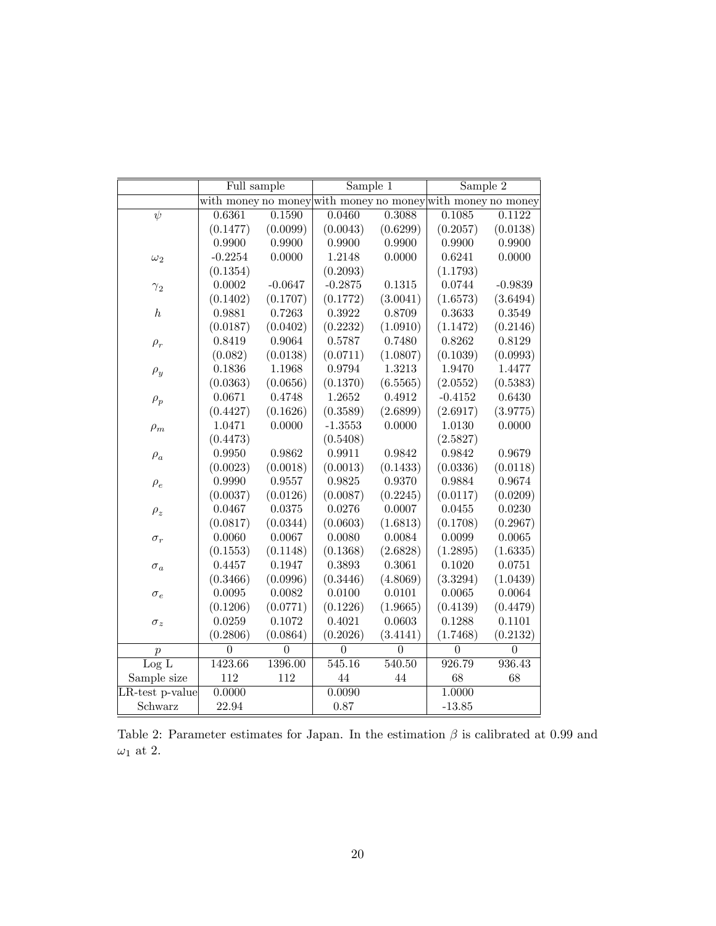|                            | Full sample         |                | Sample 1            |                | Sample 2            |                |
|----------------------------|---------------------|----------------|---------------------|----------------|---------------------|----------------|
|                            | with money no money |                | with money no money |                | with money no money |                |
| $\psi$                     | 0.6361              | 0.1590         | 0.0460              | 0.3088         | 0.1085              | 0.1122         |
|                            | (0.1477)            | (0.0099)       | (0.0043)            | (0.6299)       | (0.2057)            | (0.0138)       |
|                            | 0.9900              | 0.9900         | 0.9900              | 0.9900         | 0.9900              | 0.9900         |
| $\omega_2$                 | $-0.2254$           | 0.0000         | 1.2148              | 0.0000         | 0.6241              | 0.0000         |
|                            | (0.1354)            |                | (0.2093)            |                | (1.1793)            |                |
| $\gamma_2$                 | 0.0002              | $-0.0647$      | $-0.2875$           | 0.1315         | 0.0744              | $-0.9839$      |
|                            | (0.1402)            | (0.1707)       | (0.1772)            | (3.0041)       | (1.6573)            | (3.6494)       |
| $\boldsymbol{h}$           | 0.9881              | 0.7263         | 0.3922              | 0.8709         | 0.3633              | 0.3549         |
|                            | (0.0187)            | (0.0402)       | (0.2232)            | (1.0910)       | (1.1472)            | (0.2146)       |
| $\rho_r$                   | 0.8419              | 0.9064         | 0.5787              | 0.7480         | 0.8262              | 0.8129         |
|                            | (0.082)             | (0.0138)       | (0.0711)            | (1.0807)       | (0.1039)            | (0.0993)       |
| $\rho_y$                   | 0.1836              | 1.1968         | 0.9794              | 1.3213         | 1.9470              | 1.4477         |
|                            | (0.0363)            | (0.0656)       | (0.1370)            | (6.5565)       | (2.0552)            | (0.5383)       |
| $\rho_p$                   | 0.0671              | 0.4748         | 1.2652              | 0.4912         | $-0.4152$           | 0.6430         |
|                            | (0.4427)            | (0.1626)       | (0.3589)            | (2.6899)       | (2.6917)            | (3.9775)       |
| $\rho_m$                   | 1.0471              | 0.0000         | $-1.3553$           | 0.0000         | 1.0130              | 0.0000         |
|                            | (0.4473)            |                | (0.5408)            |                | (2.5827)            |                |
| $\rho_a$                   | 0.9950              | 0.9862         | 0.9911              | 0.9842         | 0.9842              | 0.9679         |
|                            | (0.0023)            | (0.0018)       | (0.0013)            | (0.1433)       | (0.0336)            | (0.0118)       |
| $\rho_e$                   | 0.9990              | 0.9557         | 0.9825              | 0.9370         | 0.9884              | 0.9674         |
|                            | (0.0037)            | (0.0126)       | (0.0087)            | (0.2245)       | (0.0117)            | (0.0209)       |
| $\rho_z$                   | 0.0467              | 0.0375         | 0.0276              | 0.0007         | 0.0455              | 0.0230         |
|                            | (0.0817)            | (0.0344)       | (0.0603)            | (1.6813)       | (0.1708)            | (0.2967)       |
| $\sigma_r$                 | 0.0060              | 0.0067         | 0.0080              | 0.0084         | 0.0099              | 0.0065         |
|                            | (0.1553)            | (0.1148)       | (0.1368)            | (2.6828)       | (1.2895)            | (1.6335)       |
| $\sigma_a$                 | 0.4457              | 0.1947         | 0.3893              | 0.3061         | 0.1020              | 0.0751         |
|                            | (0.3466)            | (0.0996)       | (0.3446)            | (4.8069)       | (3.3294)            | (1.0439)       |
| $\sigma_e$                 | 0.0095              | 0.0082         | 0.0100              | 0.0101         | 0.0065              | 0.0064         |
|                            | (0.1206)            | (0.0771)       | (0.1226)            | (1.9665)       | (0.4139)            | (0.4479)       |
| $\sigma_z$                 | 0.0259              | 0.1072         | 0.4021              | 0.0603         | 0.1288              | 0.1101         |
|                            | (0.2806)            | (0.0864)       | (0.2026)            | (3.4141)       | (1.7468)            | (0.2132)       |
| $\boldsymbol{p}$           | $\overline{0}$      | $\overline{0}$ | $\overline{0}$      | $\overline{0}$ | $\overline{0}$      | $\overline{0}$ |
| $\overline{\text{Log } L}$ | 1423.66             | 1396.00        | 545.16              | 540.50         | 926.79              | 936.43         |
| Sample size                | 112                 | 112            | 44                  | 44             | 68                  | 68             |
| LR-test p-value            | 0.0000              |                | 0.0090              |                | 1.0000              |                |
| Schwarz                    | 22.94               |                | 0.87                |                | $-13.85$            |                |

Table 2: Parameter estimates for Japan. In the estimation  $\beta$  is calibrated at 0.99 and  $\omega_1$  at 2.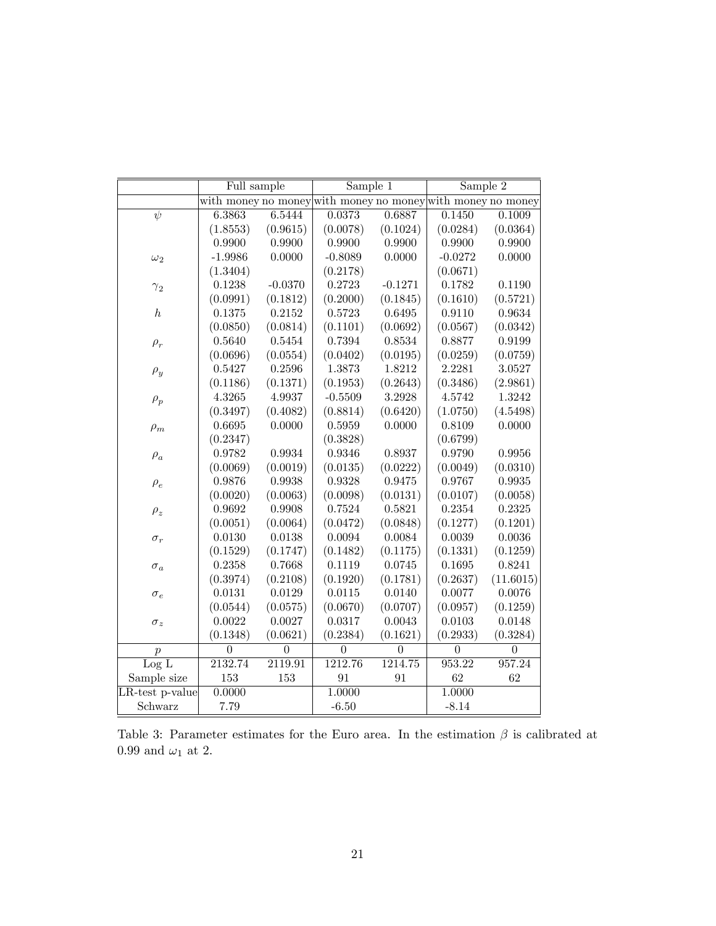|                           | Full sample         |                | Sample 1            |                | Sample 2            |                |
|---------------------------|---------------------|----------------|---------------------|----------------|---------------------|----------------|
|                           | with money no money |                | with money no money |                | with money no money |                |
| $\psi$                    | 6.3863              | 6.5444         | 0.0373              | 0.6887         | 0.1450              | 0.1009         |
|                           | (1.8553)            | (0.9615)       | (0.0078)            | (0.1024)       | (0.0284)            | (0.0364)       |
|                           | 0.9900              | 0.9900         | 0.9900              | 0.9900         | 0.9900              | 0.9900         |
| $\omega_2$                | $-1.9986$           | 0.0000         | $-0.8089$           | 0.0000         | $-0.0272$           | 0.0000         |
|                           | (1.3404)            |                | (0.2178)            |                | (0.0671)            |                |
| $\gamma_2$                | 0.1238              | $-0.0370$      | 0.2723              | $-0.1271$      | 0.1782              | 0.1190         |
|                           | (0.0991)            | (0.1812)       | (0.2000)            | (0.1845)       | (0.1610)            | (0.5721)       |
| $\boldsymbol{h}$          | 0.1375              | 0.2152         | 0.5723              | 0.6495         | 0.9110              | 0.9634         |
|                           | (0.0850)            | (0.0814)       | (0.1101)            | (0.0692)       | (0.0567)            | (0.0342)       |
| $\rho_r$                  | 0.5640              | 0.5454         | 0.7394              | 0.8534         | 0.8877              | 0.9199         |
|                           | (0.0696)            | (0.0554)       | (0.0402)            | (0.0195)       | (0.0259)            | (0.0759)       |
| $\rho_y$                  | 0.5427              | 0.2596         | 1.3873              | 1.8212         | 2.2281              | 3.0527         |
|                           | (0.1186)            | (0.1371)       | (0.1953)            | (0.2643)       | (0.3486)            | (2.9861)       |
| $\rho_p$                  | 4.3265              | 4.9937         | $-0.5509$           | 3.2928         | 4.5742              | 1.3242         |
|                           | (0.3497)            | (0.4082)       | (0.8814)            | (0.6420)       | (1.0750)            | (4.5498)       |
| $\rho_m$                  | 0.6695              | 0.0000         | 0.5959              | 0.0000         | 0.8109              | 0.0000         |
|                           | (0.2347)            |                | (0.3828)            |                | (0.6799)            |                |
| $\rho_a$                  | 0.9782              | 0.9934         | 0.9346              | 0.8937         | 0.9790              | 0.9956         |
|                           | (0.0069)            | (0.0019)       | (0.0135)            | (0.0222)       | (0.0049)            | (0.0310)       |
| $\rho_e$                  | 0.9876              | 0.9938         | 0.9328              | 0.9475         | 0.9767              | 0.9935         |
|                           | (0.0020)            | (0.0063)       | (0.0098)            | (0.0131)       | (0.0107)            | (0.0058)       |
| $\rho_z$                  | 0.9692              | 0.9908         | 0.7524              | 0.5821         | 0.2354              | 0.2325         |
|                           | (0.0051)            | (0.0064)       | (0.0472)            | (0.0848)       | (0.1277)            | (0.1201)       |
| $\sigma_r$                | 0.0130              | $0.0138\,$     | 0.0094              | 0.0084         | 0.0039              | 0.0036         |
|                           | (0.1529)            | (0.1747)       | (0.1482)            | (0.1175)       | (0.1331)            | (0.1259)       |
| $\sigma_a$                | 0.2358              | 0.7668         | 0.1119              | 0.0745         | 0.1695              | 0.8241         |
|                           | (0.3974)            | (0.2108)       | (0.1920)            | (0.1781)       | (0.2637)            | (11.6015)      |
| $\sigma_e$                | 0.0131              | 0.0129         | 0.0115              | 0.0140         | 0.0077              | 0.0076         |
|                           | (0.0544)            | (0.0575)       | (0.0670)            | (0.0707)       | (0.0957)            | (0.1259)       |
| $\sigma_z$                | 0.0022              | 0.0027         | 0.0317              | 0.0043         | 0.0103              | 0.0148         |
|                           | (0.1348)            | (0.0621)       | (0.2384)            | (0.1621)       | (0.2933)            | (0.3284)       |
| $\boldsymbol{p}$          | $\overline{0}$      | $\overline{0}$ | $\overline{0}$      | $\overline{0}$ | $\boldsymbol{0}$    | $\overline{0}$ |
| $\overline{\text{Log L}}$ | 2132.74             | 2119.91        | 1212.76             | 1214.75        | 953.22              | 957.24         |
| Sample size               | 153                 | 153            | 91                  | 91             | 62                  | 62             |
| LR-test p-value           | 0.0000              |                | 1.0000              |                | 1.0000              |                |
| Schwarz                   | 7.79                |                | $-6.50$             |                | $-8.14$             |                |

Table 3: Parameter estimates for the Euro area. In the estimation  $\beta$  is calibrated at  $0.99$  and  $\omega_1$  at 2.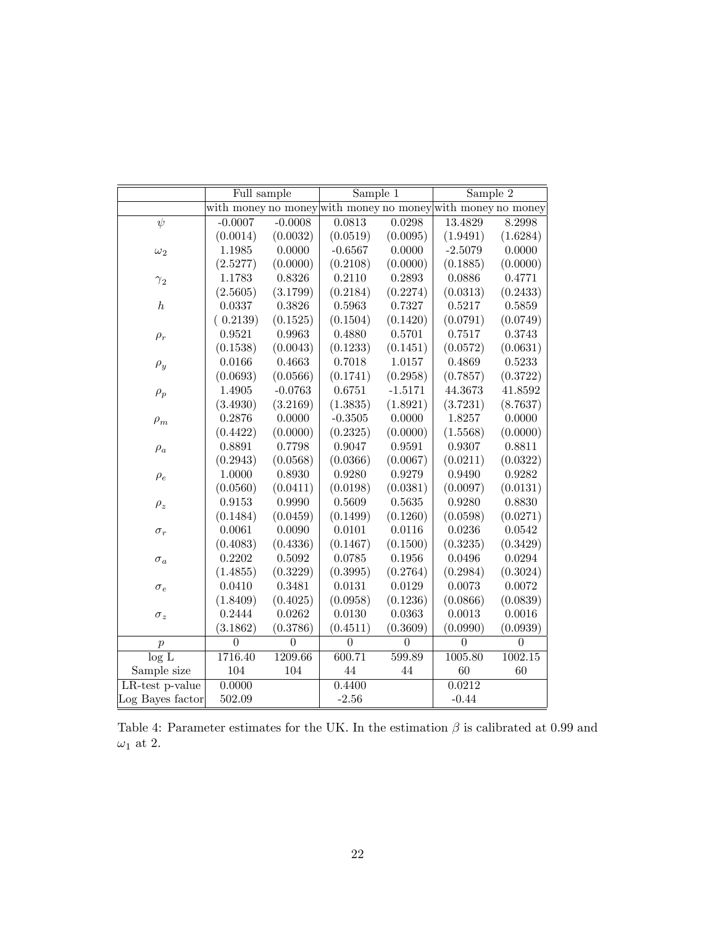|                     | Full sample         |                |                                         | Sample 1       |           | Sample 2       |  |
|---------------------|---------------------|----------------|-----------------------------------------|----------------|-----------|----------------|--|
|                     | with money no money |                | with money no money with money no money |                |           |                |  |
| $\psi$              | $-0.0007$           | $-0.0008$      | 0.0813                                  | 0.0298         | 13.4829   | 8.2998         |  |
|                     | (0.0014)            | (0.0032)       | (0.0519)                                | (0.0095)       | (1.9491)  | (1.6284)       |  |
| $\omega_2$          | 1.1985              | 0.0000         | $-0.6567$                               | 0.0000         | $-2.5079$ | 0.0000         |  |
|                     | (2.5277)            | (0.0000)       | (0.2108)                                | (0.0000)       | (0.1885)  | (0.0000)       |  |
| $\gamma_2$          | 1.1783              | 0.8326         | 0.2110                                  | 0.2893         | 0.0886    | 0.4771         |  |
|                     | (2.5605)            | (3.1799)       | (0.2184)                                | (0.2274)       | (0.0313)  | (0.2433)       |  |
| $\boldsymbol{h}$    | 0.0337              | 0.3826         | 0.5963                                  | 0.7327         | 0.5217    | 0.5859         |  |
|                     | (0.2139)            | (0.1525)       | (0.1504)                                | (0.1420)       | (0.0791)  | (0.0749)       |  |
| $\rho_r$            | 0.9521              | 0.9963         | 0.4880                                  | 0.5701         | 0.7517    | 0.3743         |  |
|                     | (0.1538)            | (0.0043)       | (0.1233)                                | (0.1451)       | (0.0572)  | (0.0631)       |  |
| $\rho_y$            | 0.0166              | 0.4663         | 0.7018                                  | 1.0157         | 0.4869    | 0.5233         |  |
|                     | (0.0693)            | (0.0566)       | (0.1741)                                | (0.2958)       | (0.7857)  | (0.3722)       |  |
| $\rho_p$            | 1.4905              | $-0.0763$      | $0.6751\,$                              | $-1.5171$      | 44.3673   | 41.8592        |  |
|                     | (3.4930)            | (3.2169)       | (1.3835)                                | (1.8921)       | (3.7231)  | (8.7637)       |  |
| $\rho_m$            | 0.2876              | 0.0000         | $-0.3505$                               | 0.0000         | 1.8257    | 0.0000         |  |
|                     | (0.4422)            | (0.0000)       | (0.2325)                                | (0.0000)       | (1.5568)  | (0.0000)       |  |
| $\rho_a$            | 0.8891              | 0.7798         | 0.9047                                  | 0.9591         | 0.9307    | 0.8811         |  |
|                     | (0.2943)            | (0.0568)       | (0.0366)                                | (0.0067)       | (0.0211)  | (0.0322)       |  |
| $\rho_e$            | 1.0000              | 0.8930         | 0.9280                                  | 0.9279         | 0.9490    | 0.9282         |  |
|                     | (0.0560)            | (0.0411)       | (0.0198)                                | (0.0381)       | (0.0097)  | (0.0131)       |  |
| $\rho_z$            | 0.9153              | 0.9990         | 0.5609                                  | 0.5635         | 0.9280    | 0.8830         |  |
|                     | (0.1484)            | (0.0459)       | (0.1499)                                | (0.1260)       | (0.0598)  | (0.0271)       |  |
| $\sigma_r$          | 0.0061              | 0.0090         | 0.0101                                  | 0.0116         | 0.0236    | 0.0542         |  |
|                     | (0.4083)            | (0.4336)       | (0.1467)                                | (0.1500)       | (0.3235)  | (0.3429)       |  |
| $\sigma_a$          | 0.2202              | $0.5092\,$     | 0.0785                                  | 0.1956         | 0.0496    | 0.0294         |  |
|                     | (1.4855)            | (0.3229)       | (0.3995)                                | (0.2764)       | (0.2984)  | (0.3024)       |  |
| $\sigma_e$          | 0.0410              | 0.3481         | 0.0131                                  | 0.0129         | 0.0073    | 0.0072         |  |
|                     | (1.8409)            | (0.4025)       | (0.0958)                                | (0.1236)       | (0.0866)  | (0.0839)       |  |
| $\sigma_z$          | 0.2444              | 0.0262         | 0.0130                                  | 0.0363         | 0.0013    | 0.0016         |  |
|                     | (3.1862)            | (0.3786)       | (0.4511)                                | (0.3609)       | (0.0990)  | (0.0939)       |  |
| $\overline{p}$      | $\overline{0}$      | $\overline{0}$ | $\overline{0}$                          | $\overline{0}$ | $\theta$  | $\overline{0}$ |  |
| $\overline{\log L}$ | 1716.40             | 1209.66        | 600.71                                  | 599.89         | 1005.80   | 1002.15        |  |
| Sample size         | 104                 | $104\,$        | 44                                      | 44             | 60        | 60             |  |
| LR-test p-value     | 0.0000              |                | 0.4400                                  |                | 0.0212    |                |  |
| Log Bayes factor    | 502.09              |                | $-2.56$                                 |                | $-0.44$   |                |  |

Table 4: Parameter estimates for the UK. In the estimation  $\beta$  is calibrated at 0.99 and  $\omega_1$  at 2.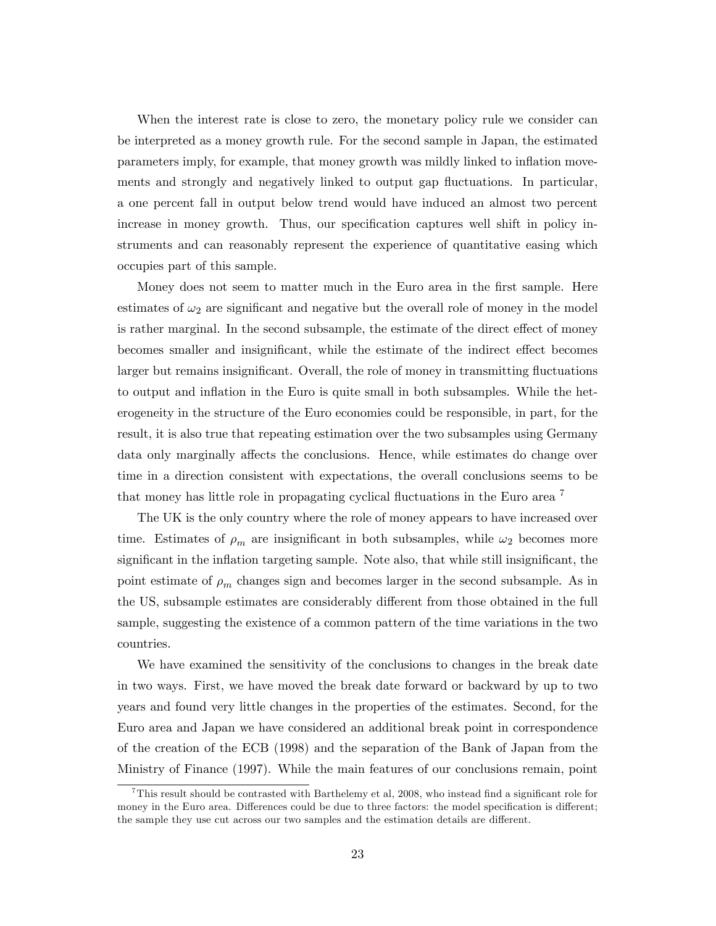When the interest rate is close to zero, the monetary policy rule we consider can be interpreted as a money growth rule. For the second sample in Japan, the estimated parameters imply, for example, that money growth was mildly linked to inflation movements and strongly and negatively linked to output gap fluctuations. In particular, a one percent fall in output below trend would have induced an almost two percent increase in money growth. Thus, our specification captures well shift in policy instruments and can reasonably represent the experience of quantitative easing which occupies part of this sample.

Money does not seem to matter much in the Euro area in the first sample. Here estimates of  $\omega_2$  are significant and negative but the overall role of money in the model is rather marginal. In the second subsample, the estimate of the direct effect of money becomes smaller and insignificant, while the estimate of the indirect effect becomes larger but remains insignificant. Overall, the role of money in transmitting fluctuations to output and ináation in the Euro is quite small in both subsamples. While the heterogeneity in the structure of the Euro economies could be responsible, in part, for the result, it is also true that repeating estimation over the two subsamples using Germany data only marginally affects the conclusions. Hence, while estimates do change over time in a direction consistent with expectations, the overall conclusions seems to be that money has little role in propagating cyclical fluctuations in the Euro area  $^7$ 

The UK is the only country where the role of money appears to have increased over time. Estimates of  $\rho_m$  are insignificant in both subsamples, while  $\omega_2$  becomes more significant in the inflation targeting sample. Note also, that while still insignificant, the point estimate of  $\rho_m$  changes sign and becomes larger in the second subsample. As in the US, subsample estimates are considerably different from those obtained in the full sample, suggesting the existence of a common pattern of the time variations in the two countries.

We have examined the sensitivity of the conclusions to changes in the break date in two ways. First, we have moved the break date forward or backward by up to two years and found very little changes in the properties of the estimates. Second, for the Euro area and Japan we have considered an additional break point in correspondence of the creation of the ECB (1998) and the separation of the Bank of Japan from the Ministry of Finance (1997). While the main features of our conclusions remain, point

<sup>&</sup>lt;sup>7</sup>This result should be contrasted with Barthelemy et al. 2008, who instead find a significant role for money in the Euro area. Differences could be due to three factors: the model specification is different; the sample they use cut across our two samples and the estimation details are different.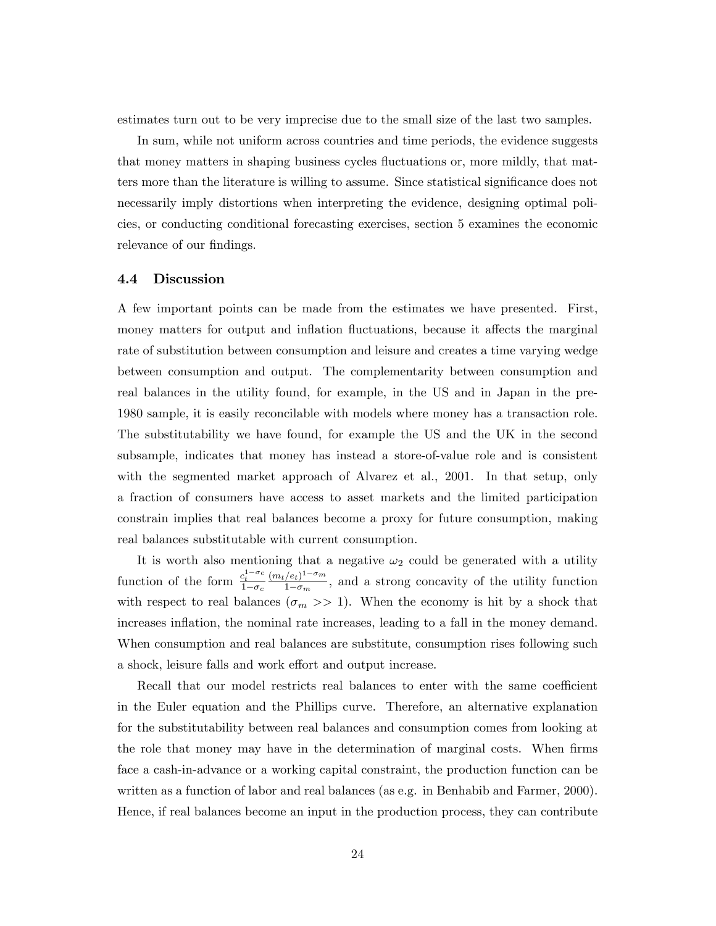estimates turn out to be very imprecise due to the small size of the last two samples.

In sum, while not uniform across countries and time periods, the evidence suggests that money matters in shaping business cycles fluctuations or, more mildly, that matters more than the literature is willing to assume. Since statistical significance does not necessarily imply distortions when interpreting the evidence, designing optimal policies, or conducting conditional forecasting exercises, section 5 examines the economic relevance of our findings.

### 4.4 Discussion

A few important points can be made from the estimates we have presented. First, money matters for output and inflation fluctuations, because it affects the marginal rate of substitution between consumption and leisure and creates a time varying wedge between consumption and output. The complementarity between consumption and real balances in the utility found, for example, in the US and in Japan in the pre-1980 sample, it is easily reconcilable with models where money has a transaction role. The substitutability we have found, for example the US and the UK in the second subsample, indicates that money has instead a store-of-value role and is consistent with the segmented market approach of Alvarez et al., 2001. In that setup, only a fraction of consumers have access to asset markets and the limited participation constrain implies that real balances become a proxy for future consumption, making real balances substitutable with current consumption.

It is worth also mentioning that a negative  $\omega_2$  could be generated with a utility function of the form  $\frac{c_t^{1-\sigma_c}}{1-\sigma_c}$  $(m_t/e_t)^{1-\sigma_m}$  $\frac{(e_i)^{1-m}}{1-\sigma_m}$ , and a strong concavity of the utility function with respect to real balances ( $\sigma_m >> 1$ ). When the economy is hit by a shock that increases inflation, the nominal rate increases, leading to a fall in the money demand. When consumption and real balances are substitute, consumption rises following such a shock, leisure falls and work effort and output increase.

Recall that our model restricts real balances to enter with the same coefficient in the Euler equation and the Phillips curve. Therefore, an alternative explanation for the substitutability between real balances and consumption comes from looking at the role that money may have in the determination of marginal costs. When firms face a cash-in-advance or a working capital constraint, the production function can be written as a function of labor and real balances (as e.g. in Benhabib and Farmer, 2000). Hence, if real balances become an input in the production process, they can contribute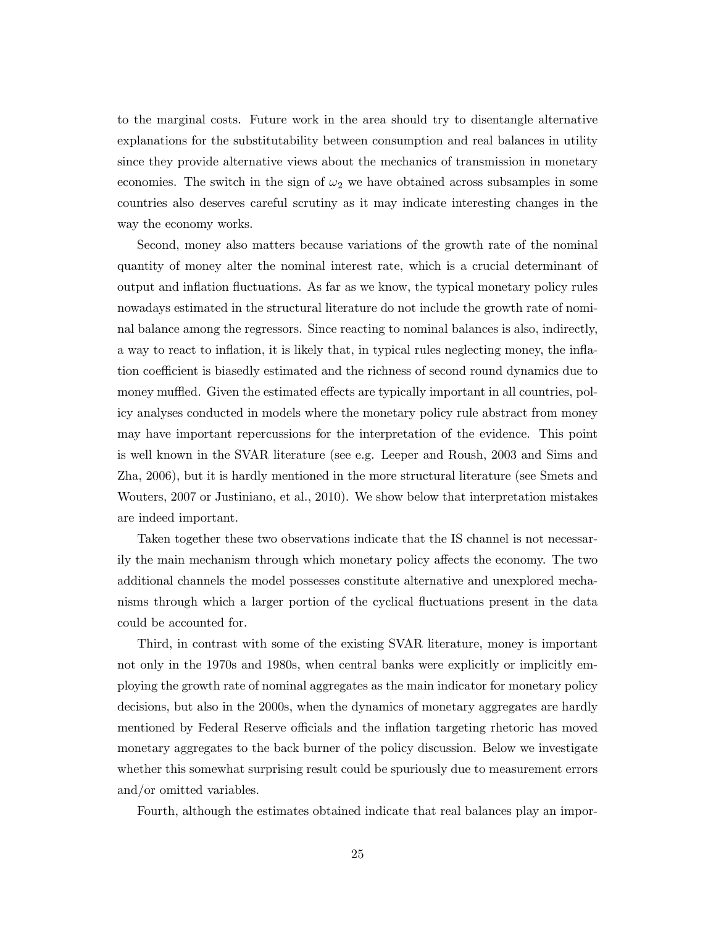to the marginal costs. Future work in the area should try to disentangle alternative explanations for the substitutability between consumption and real balances in utility since they provide alternative views about the mechanics of transmission in monetary economies. The switch in the sign of  $\omega_2$  we have obtained across subsamples in some countries also deserves careful scrutiny as it may indicate interesting changes in the way the economy works.

Second, money also matters because variations of the growth rate of the nominal quantity of money alter the nominal interest rate, which is a crucial determinant of output and ináation áuctuations. As far as we know, the typical monetary policy rules nowadays estimated in the structural literature do not include the growth rate of nominal balance among the regressors. Since reacting to nominal balances is also, indirectly, a way to react to inflation, it is likely that, in typical rules neglecting money, the inflation coefficient is biasedly estimated and the richness of second round dynamics due to money muffled. Given the estimated effects are typically important in all countries, policy analyses conducted in models where the monetary policy rule abstract from money may have important repercussions for the interpretation of the evidence. This point is well known in the SVAR literature (see e.g. Leeper and Roush, 2003 and Sims and Zha, 2006), but it is hardly mentioned in the more structural literature (see Smets and Wouters, 2007 or Justiniano, et al., 2010). We show below that interpretation mistakes are indeed important.

Taken together these two observations indicate that the IS channel is not necessarily the main mechanism through which monetary policy affects the economy. The two additional channels the model possesses constitute alternative and unexplored mechanisms through which a larger portion of the cyclical fluctuations present in the data could be accounted for.

Third, in contrast with some of the existing SVAR literature, money is important not only in the 1970s and 1980s, when central banks were explicitly or implicitly employing the growth rate of nominal aggregates as the main indicator for monetary policy decisions, but also in the 2000s, when the dynamics of monetary aggregates are hardly mentioned by Federal Reserve officials and the inflation targeting rhetoric has moved monetary aggregates to the back burner of the policy discussion. Below we investigate whether this somewhat surprising result could be spuriously due to measurement errors and/or omitted variables.

Fourth, although the estimates obtained indicate that real balances play an impor-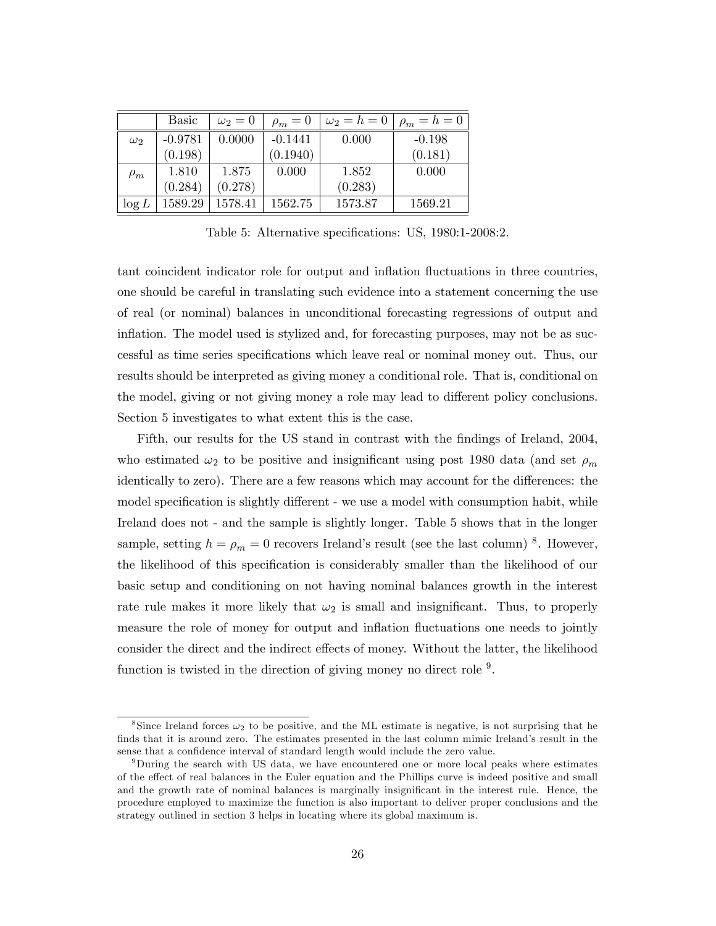|            | <b>Basic</b> | $\omega_2=0$ | $\rho_m=0$ | $\omega_2 = h = 0$ | $\rho_m = h = 0$ |
|------------|--------------|--------------|------------|--------------------|------------------|
| $\omega_2$ | $-0.9781$    | 0.0000       | $-0.1441$  | 0.000              | $-0.198$         |
|            | (0.198)      |              | (0.1940)   |                    | (0.181)          |
| $\rho_m$   | 1.810        | 1.875        | 0.000      | 1.852              | 0.000            |
|            | (0.284)      | (0.278)      |            | (0.283)            |                  |
| $\log L$   | 1589.29      | 1578.41      | 1562.75    | 1573.87            | 1569.21          |

Table 5: Alternative specifications: US, 1980:1-2008:2.

tant coincident indicator role for output and inflation fluctuations in three countries, one should be careful in translating such evidence into a statement concerning the use of real (or nominal) balances in unconditional forecasting regressions of output and inflation. The model used is stylized and, for forecasting purposes, may not be as successful as time series specifications which leave real or nominal money out. Thus, our results should be interpreted as giving money a conditional role. That is, conditional on the model, giving or not giving money a role may lead to different policy conclusions. Section 5 investigates to what extent this is the case.

Fifth, our results for the US stand in contrast with the findings of Ireland, 2004, who estimated  $\omega_2$  to be positive and insignificant using post 1980 data (and set  $\rho_m$ ) identically to zero). There are a few reasons which may account for the differences: the model specification is slightly different - we use a model with consumption habit, while Ireland does not - and the sample is slightly longer. Table 5 shows that in the longer sample, setting  $h = \rho_m = 0$  recovers Ireland's result (see the last column)<sup>8</sup>. However, the likelihood of this specification is considerably smaller than the likelihood of our basic setup and conditioning on not having nominal balances growth in the interest rate rule makes it more likely that  $\omega_2$  is small and insignificant. Thus, to properly measure the role of money for output and inflation fluctuations one needs to jointly consider the direct and the indirect effects of money. Without the latter, the likelihood function is twisted in the direction of giving money no direct role  $^9$ .

<sup>&</sup>lt;sup>8</sup>Since Ireland forces  $\omega_2$  to be positive, and the ML estimate is negative, is not surprising that he finds that it is around zero. The estimates presented in the last column mimic Ireland's result in the sense that a confidence interval of standard length would include the zero value.

<sup>9</sup>During the search with US data, we have encountered one or more local peaks where estimates of the effect of real balances in the Euler equation and the Phillips curve is indeed positive and small and the growth rate of nominal balances is marginally insignificant in the interest rule. Hence, the procedure employed to maximize the function is also important to deliver proper conclusions and the strategy outlined in section 3 helps in locating where its global maximum is.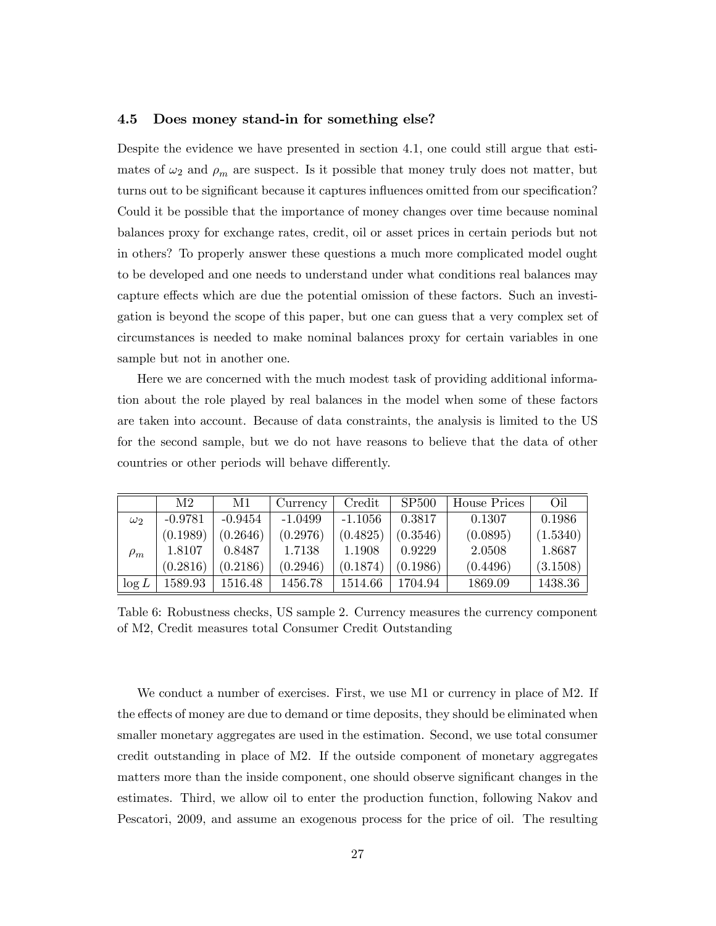#### 4.5 Does money stand-in for something else?

Despite the evidence we have presented in section 4.1, one could still argue that estimates of  $\omega_2$  and  $\rho_m$  are suspect. Is it possible that money truly does not matter, but turns out to be significant because it captures influences omitted from our specification? Could it be possible that the importance of money changes over time because nominal balances proxy for exchange rates, credit, oil or asset prices in certain periods but not in others? To properly answer these questions a much more complicated model ought to be developed and one needs to understand under what conditions real balances may capture effects which are due the potential omission of these factors. Such an investigation is beyond the scope of this paper, but one can guess that a very complex set of circumstances is needed to make nominal balances proxy for certain variables in one sample but not in another one.

Here we are concerned with the much modest task of providing additional information about the role played by real balances in the model when some of these factors are taken into account. Because of data constraints, the analysis is limited to the US for the second sample, but we do not have reasons to believe that the data of other countries or other periods will behave differently.

|            | M <sub>2</sub> | M1        | Currency  | Credit    | SP500    | House Prices | Oil      |
|------------|----------------|-----------|-----------|-----------|----------|--------------|----------|
| $\omega_2$ | $-0.9781$      | $-0.9454$ | $-1.0499$ | $-1.1056$ | 0.3817   | 0.1307       | 0.1986   |
|            | (0.1989)       | (0.2646)  | (0.2976)  | (0.4825)  | (0.3546) | (0.0895)     | (1.5340) |
| $\rho_m$   | 1.8107         | 0.8487    | 1.7138    | 1.1908    | 0.9229   | 2.0508       | 1.8687   |
|            | (0.2816)       | (0.2186)  | (0.2946)  | (0.1874)  | (0.1986) | (0.4496)     | (3.1508) |
| $\log L$   | 1589.93        | 1516.48   | 1456.78   | 1514.66   | 1704.94  | 1869.09      | 1438.36  |

Table 6: Robustness checks, US sample 2. Currency measures the currency component of M2, Credit measures total Consumer Credit Outstanding

We conduct a number of exercises. First, we use M1 or currency in place of M2. If the effects of money are due to demand or time deposits, they should be eliminated when smaller monetary aggregates are used in the estimation. Second, we use total consumer credit outstanding in place of M2. If the outside component of monetary aggregates matters more than the inside component, one should observe significant changes in the estimates. Third, we allow oil to enter the production function, following Nakov and Pescatori, 2009, and assume an exogenous process for the price of oil. The resulting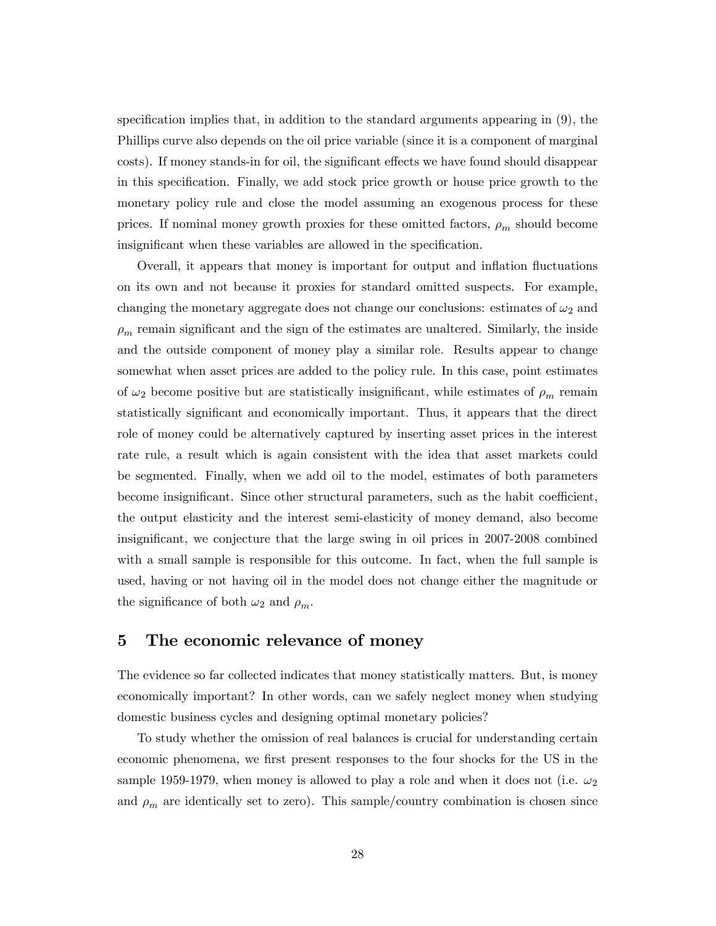specification implies that, in addition to the standard arguments appearing in  $(9)$ , the Phillips curve also depends on the oil price variable (since it is a component of marginal costs). If money stands-in for oil, the significant effects we have found should disappear in this specification. Finally, we add stock price growth or house price growth to the monetary policy rule and close the model assuming an exogenous process for these prices. If nominal money growth proxies for these omitted factors,  $\rho_m$  should become insignificant when these variables are allowed in the specification.

Overall, it appears that money is important for output and inflation fluctuations on its own and not because it proxies for standard omitted suspects. For example, changing the monetary aggregate does not change our conclusions: estimates of  $\omega_2$  and  $\rho_m$  remain significant and the sign of the estimates are unaltered. Similarly, the inside and the outside component of money play a similar role. Results appear to change somewhat when asset prices are added to the policy rule. In this case, point estimates of  $\omega_2$  become positive but are statistically insignificant, while estimates of  $\rho_m$  remain statistically significant and economically important. Thus, it appears that the direct role of money could be alternatively captured by inserting asset prices in the interest rate rule, a result which is again consistent with the idea that asset markets could be segmented. Finally, when we add oil to the model, estimates of both parameters become insignificant. Since other structural parameters, such as the habit coefficient, the output elasticity and the interest semi-elasticity of money demand, also become insignificant, we conjecture that the large swing in oil prices in 2007-2008 combined with a small sample is responsible for this outcome. In fact, when the full sample is used, having or not having oil in the model does not change either the magnitude or the significance of both  $\omega_2$  and  $\rho_m$ .

### 5 The economic relevance of money

The evidence so far collected indicates that money statistically matters. But, is money economically important? In other words, can we safely neglect money when studying domestic business cycles and designing optimal monetary policies?

To study whether the omission of real balances is crucial for understanding certain economic phenomena, we first present responses to the four shocks for the US in the sample 1959-1979, when money is allowed to play a role and when it does not (i.e.  $\omega_2$ and  $\rho_m$  are identically set to zero). This sample/country combination is chosen since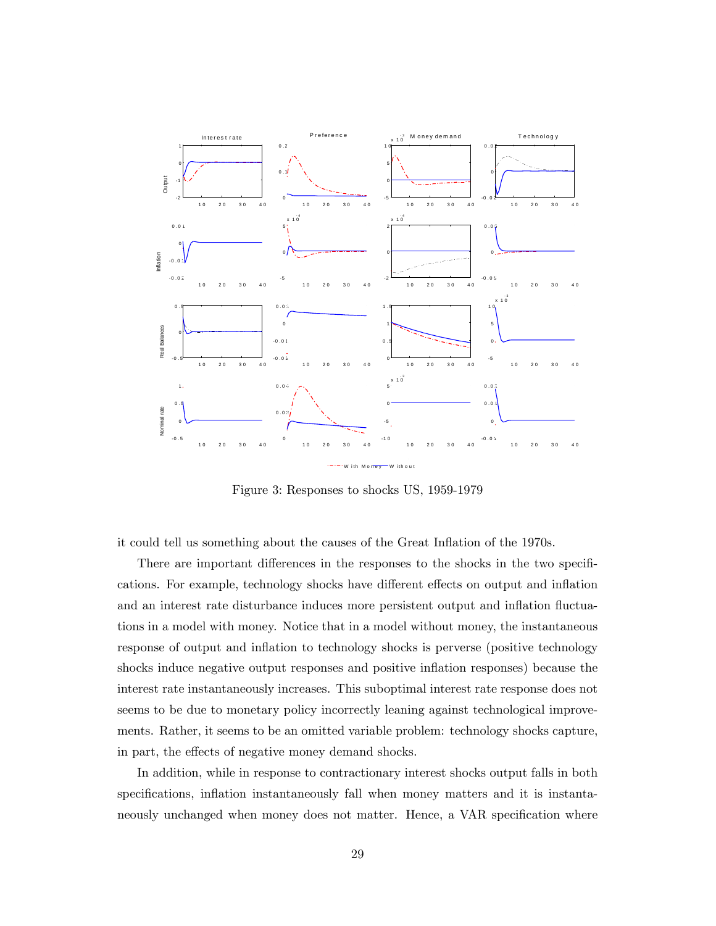

Figure 3: Responses to shocks US, 1959-1979

it could tell us something about the causes of the Great Inflation of the 1970s.

There are important differences in the responses to the shocks in the two specifications. For example, technology shocks have different effects on output and inflation and an interest rate disturbance induces more persistent output and inflation fluctuations in a model with money. Notice that in a model without money, the instantaneous response of output and inflation to technology shocks is perverse (positive technology shocks induce negative output responses and positive inflation responses) because the interest rate instantaneously increases. This suboptimal interest rate response does not seems to be due to monetary policy incorrectly leaning against technological improvements. Rather, it seems to be an omitted variable problem: technology shocks capture, in part, the effects of negative money demand shocks.

In addition, while in response to contractionary interest shocks output falls in both specifications, inflation instantaneously fall when money matters and it is instantaneously unchanged when money does not matter. Hence, a VAR specification where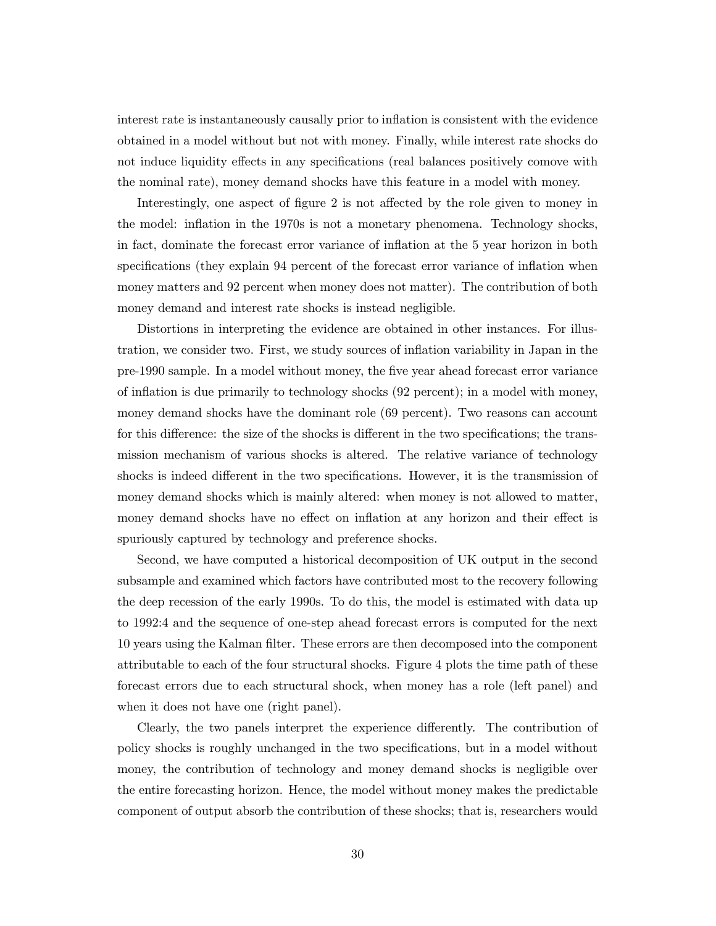interest rate is instantaneously causally prior to inflation is consistent with the evidence obtained in a model without but not with money. Finally, while interest rate shocks do not induce liquidity effects in any specifications (real balances positively comove with the nominal rate), money demand shocks have this feature in a model with money.

Interestingly, one aspect of figure 2 is not affected by the role given to money in the model: inflation in the 1970s is not a monetary phenomena. Technology shocks, in fact, dominate the forecast error variance of inflation at the 5 year horizon in both specifications (they explain 94 percent of the forecast error variance of inflation when money matters and 92 percent when money does not matter). The contribution of both money demand and interest rate shocks is instead negligible.

Distortions in interpreting the evidence are obtained in other instances. For illustration, we consider two. First, we study sources of ináation variability in Japan in the pre-1990 sample. In a model without money, the Öve year ahead forecast error variance of ináation is due primarily to technology shocks (92 percent); in a model with money, money demand shocks have the dominant role (69 percent). Two reasons can account for this difference: the size of the shocks is different in the two specifications; the transmission mechanism of various shocks is altered. The relative variance of technology shocks is indeed different in the two specifications. However, it is the transmission of money demand shocks which is mainly altered: when money is not allowed to matter, money demand shocks have no effect on inflation at any horizon and their effect is spuriously captured by technology and preference shocks.

Second, we have computed a historical decomposition of UK output in the second subsample and examined which factors have contributed most to the recovery following the deep recession of the early 1990s. To do this, the model is estimated with data up to 1992:4 and the sequence of one-step ahead forecast errors is computed for the next 10 years using the Kalman Ölter. These errors are then decomposed into the component attributable to each of the four structural shocks. Figure 4 plots the time path of these forecast errors due to each structural shock, when money has a role (left panel) and when it does not have one (right panel).

Clearly, the two panels interpret the experience differently. The contribution of policy shocks is roughly unchanged in the two specifications, but in a model without money, the contribution of technology and money demand shocks is negligible over the entire forecasting horizon. Hence, the model without money makes the predictable component of output absorb the contribution of these shocks; that is, researchers would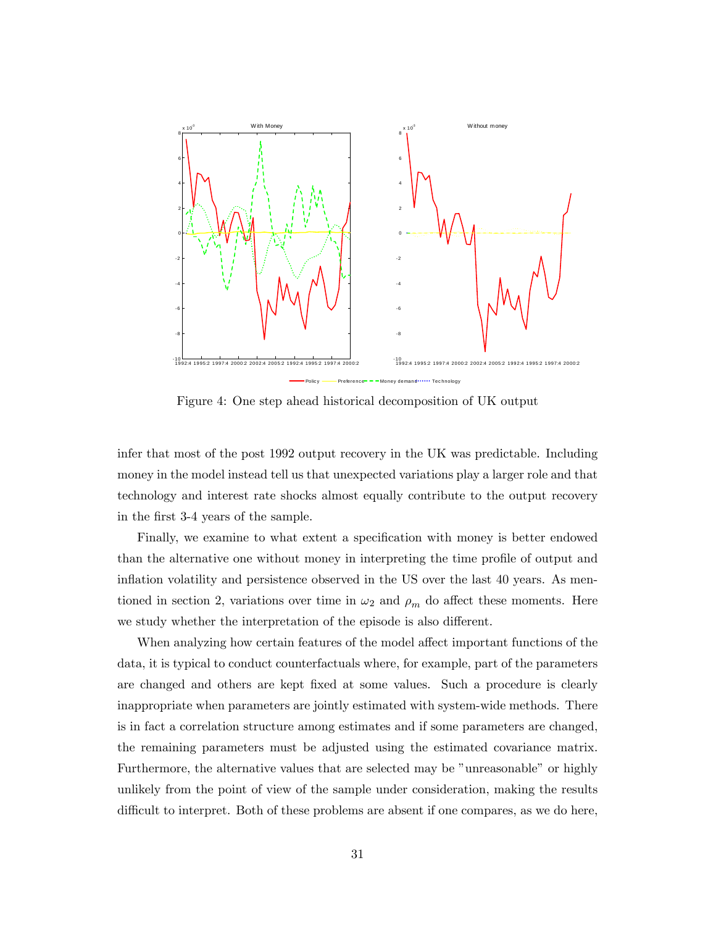

Figure 4: One step ahead historical decomposition of UK output

infer that most of the post 1992 output recovery in the UK was predictable. Including money in the model instead tell us that unexpected variations play a larger role and that technology and interest rate shocks almost equally contribute to the output recovery in the first 3-4 years of the sample.

Finally, we examine to what extent a specification with money is better endowed than the alternative one without money in interpreting the time profile of output and inflation volatility and persistence observed in the US over the last 40 years. As mentioned in section 2, variations over time in  $\omega_2$  and  $\rho_m$  do affect these moments. Here we study whether the interpretation of the episode is also different.

When analyzing how certain features of the model affect important functions of the data, it is typical to conduct counterfactuals where, for example, part of the parameters are changed and others are kept Öxed at some values. Such a procedure is clearly inappropriate when parameters are jointly estimated with system-wide methods. There is in fact a correlation structure among estimates and if some parameters are changed, the remaining parameters must be adjusted using the estimated covariance matrix. Furthermore, the alternative values that are selected may be "unreasonable" or highly unlikely from the point of view of the sample under consideration, making the results difficult to interpret. Both of these problems are absent if one compares, as we do here,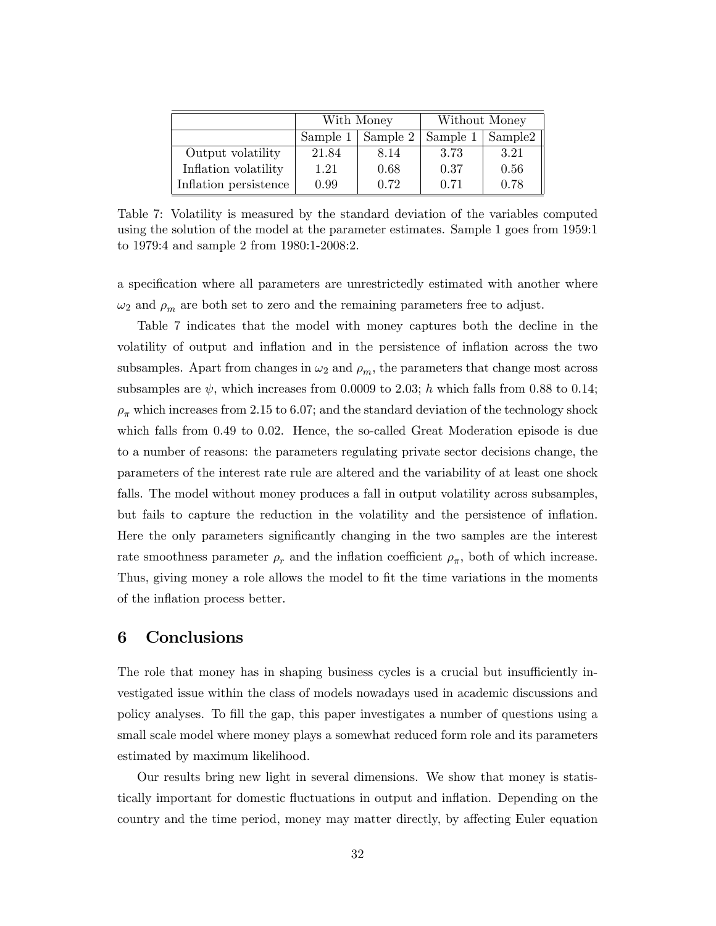|                       |       | With Money                        | Without Money           |      |  |
|-----------------------|-------|-----------------------------------|-------------------------|------|--|
|                       |       | Sample $1 \vert$ Sample $2 \vert$ | Sample $1  $ Sample $2$ |      |  |
| Output volatility     | 21.84 | 8.14                              | 3.73                    | 3.21 |  |
| Inflation volatility  | 1.21  | 0.68                              | 0.37                    | 0.56 |  |
| Inflation persistence | 0.99  | 0.72                              | 0.71                    | 0.78 |  |

Table 7: Volatility is measured by the standard deviation of the variables computed using the solution of the model at the parameter estimates. Sample 1 goes from 1959:1 to 1979:4 and sample 2 from 1980:1-2008:2.

a specification where all parameters are unrestrictedly estimated with another where  $\omega_2$  and  $\rho_m$  are both set to zero and the remaining parameters free to adjust.

Table 7 indicates that the model with money captures both the decline in the volatility of output and inflation and in the persistence of inflation across the two subsamples. Apart from changes in  $\omega_2$  and  $\rho_m$ , the parameters that change most across subsamples are  $\psi$ , which increases from 0.0009 to 2.03; h which falls from 0.88 to 0.14;  $\rho_{\pi}$  which increases from 2.15 to 6.07; and the standard deviation of the technology shock which falls from 0.49 to 0.02. Hence, the so-called Great Moderation episode is due to a number of reasons: the parameters regulating private sector decisions change, the parameters of the interest rate rule are altered and the variability of at least one shock falls. The model without money produces a fall in output volatility across subsamples, but fails to capture the reduction in the volatility and the persistence of ináation. Here the only parameters significantly changing in the two samples are the interest rate smoothness parameter  $\rho_r$  and the inflation coefficient  $\rho_{\pi}$ , both of which increase. Thus, giving money a role allows the model to fit the time variations in the moments of the inflation process better.

### 6 Conclusions

The role that money has in shaping business cycles is a crucial but insufficiently investigated issue within the class of models nowadays used in academic discussions and policy analyses. To Öll the gap, this paper investigates a number of questions using a small scale model where money plays a somewhat reduced form role and its parameters estimated by maximum likelihood.

Our results bring new light in several dimensions. We show that money is statistically important for domestic áuctuations in output and ináation. Depending on the country and the time period, money may matter directly, by affecting Euler equation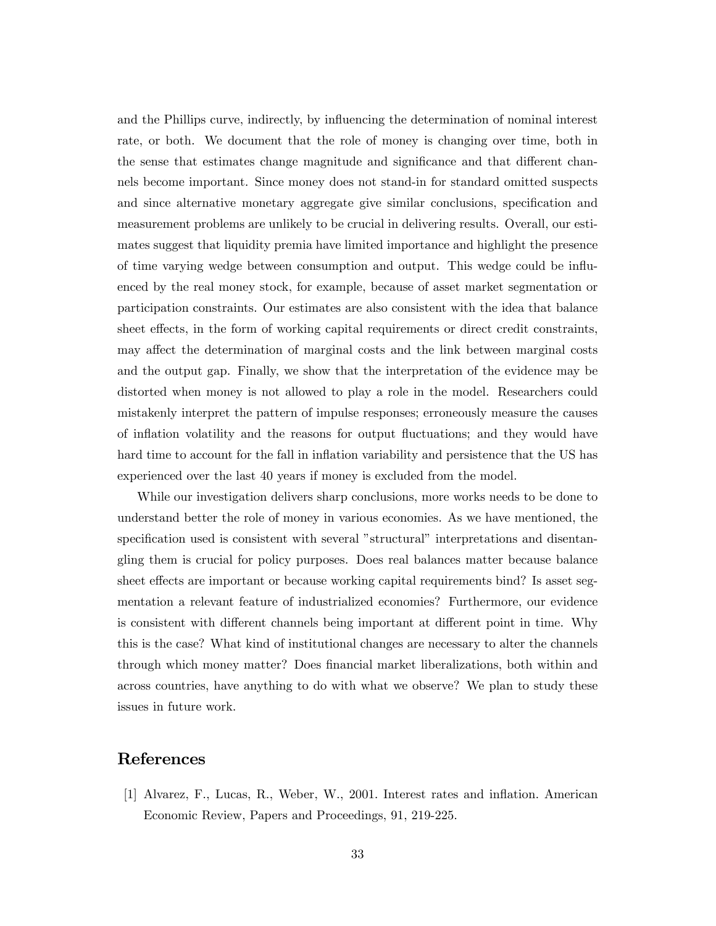and the Phillips curve, indirectly, by influencing the determination of nominal interest rate, or both. We document that the role of money is changing over time, both in the sense that estimates change magnitude and significance and that different channels become important. Since money does not stand-in for standard omitted suspects and since alternative monetary aggregate give similar conclusions, specification and measurement problems are unlikely to be crucial in delivering results. Overall, our estimates suggest that liquidity premia have limited importance and highlight the presence of time varying wedge between consumption and output. This wedge could be ináuenced by the real money stock, for example, because of asset market segmentation or participation constraints. Our estimates are also consistent with the idea that balance sheet effects, in the form of working capital requirements or direct credit constraints, may affect the determination of marginal costs and the link between marginal costs and the output gap. Finally, we show that the interpretation of the evidence may be distorted when money is not allowed to play a role in the model. Researchers could mistakenly interpret the pattern of impulse responses; erroneously measure the causes of inflation volatility and the reasons for output fluctuations; and they would have hard time to account for the fall in inflation variability and persistence that the US has experienced over the last 40 years if money is excluded from the model.

While our investigation delivers sharp conclusions, more works needs to be done to understand better the role of money in various economies. As we have mentioned, the specification used is consistent with several "structural" interpretations and disentangling them is crucial for policy purposes. Does real balances matter because balance sheet effects are important or because working capital requirements bind? Is asset segmentation a relevant feature of industrialized economies? Furthermore, our evidence is consistent with different channels being important at different point in time. Why this is the case? What kind of institutional changes are necessary to alter the channels through which money matter? Does Önancial market liberalizations, both within and across countries, have anything to do with what we observe? We plan to study these issues in future work.

## References

[1] Alvarez, F., Lucas, R., Weber, W., 2001. Interest rates and ináation. American Economic Review, Papers and Proceedings, 91, 219-225.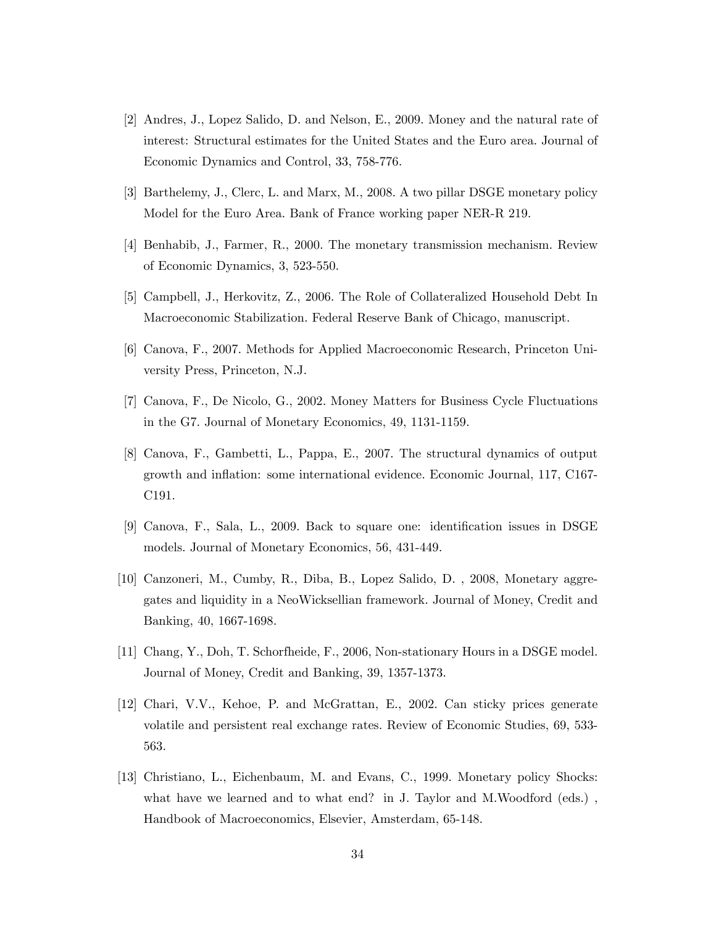- [2] Andres, J., Lopez Salido, D. and Nelson, E., 2009. Money and the natural rate of interest: Structural estimates for the United States and the Euro area. Journal of Economic Dynamics and Control, 33, 758-776.
- [3] Barthelemy, J., Clerc, L. and Marx, M., 2008. A two pillar DSGE monetary policy Model for the Euro Area. Bank of France working paper NER-R 219.
- [4] Benhabib, J., Farmer, R., 2000. The monetary transmission mechanism. Review of Economic Dynamics, 3, 523-550.
- [5] Campbell, J., Herkovitz, Z., 2006. The Role of Collateralized Household Debt In Macroeconomic Stabilization. Federal Reserve Bank of Chicago, manuscript.
- [6] Canova, F., 2007. Methods for Applied Macroeconomic Research, Princeton University Press, Princeton, N.J.
- [7] Canova, F., De Nicolo, G., 2002. Money Matters for Business Cycle Fluctuations in the G7. Journal of Monetary Economics, 49, 1131-1159.
- [8] Canova, F., Gambetti, L., Pappa, E., 2007. The structural dynamics of output growth and ináation: some international evidence. Economic Journal, 117, C167- C191.
- [9] Canova, F., Sala, L., 2009. Back to square one: identification issues in DSGE models. Journal of Monetary Economics, 56, 431-449.
- [10] Canzoneri, M., Cumby, R., Diba, B., Lopez Salido, D. , 2008, Monetary aggregates and liquidity in a NeoWicksellian framework. Journal of Money, Credit and Banking, 40, 1667-1698.
- [11] Chang, Y., Doh, T. Schorfheide, F., 2006, Non-stationary Hours in a DSGE model. Journal of Money, Credit and Banking, 39, 1357-1373.
- [12] Chari, V.V., Kehoe, P. and McGrattan, E., 2002. Can sticky prices generate volatile and persistent real exchange rates. Review of Economic Studies, 69, 533- 563.
- [13] Christiano, L., Eichenbaum, M. and Evans, C., 1999. Monetary policy Shocks: what have we learned and to what end? in J. Taylor and M.Woodford (eds.) , Handbook of Macroeconomics, Elsevier, Amsterdam, 65-148.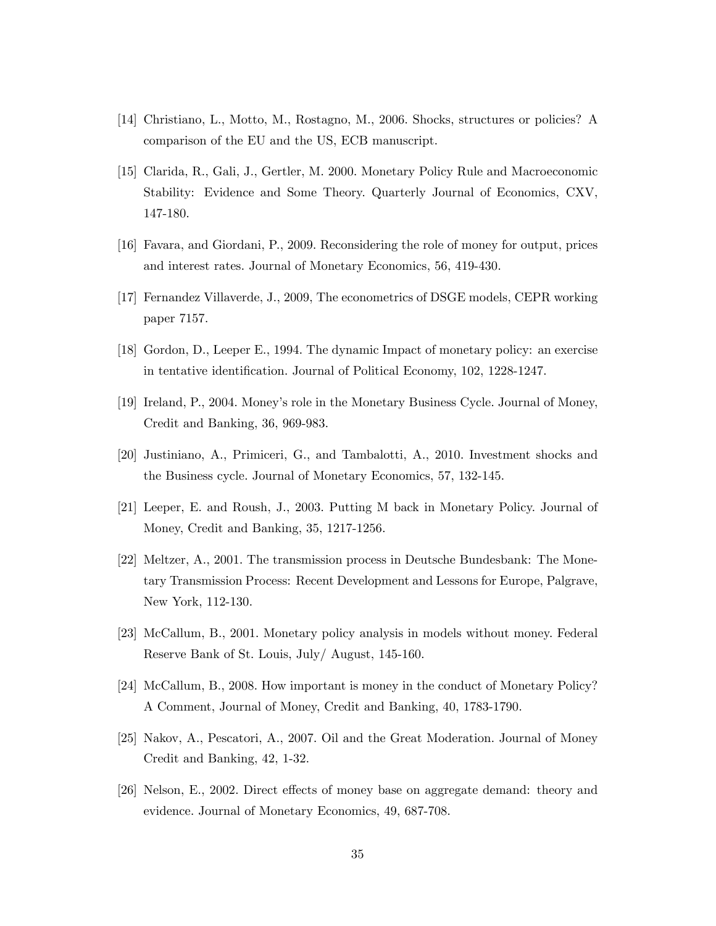- [14] Christiano, L., Motto, M., Rostagno, M., 2006. Shocks, structures or policies? A comparison of the EU and the US, ECB manuscript.
- [15] Clarida, R., Gali, J., Gertler, M. 2000. Monetary Policy Rule and Macroeconomic Stability: Evidence and Some Theory. Quarterly Journal of Economics, CXV, 147-180.
- [16] Favara, and Giordani, P., 2009. Reconsidering the role of money for output, prices and interest rates. Journal of Monetary Economics, 56, 419-430.
- [17] Fernandez Villaverde, J., 2009, The econometrics of DSGE models, CEPR working paper 7157.
- [18] Gordon, D., Leeper E., 1994. The dynamic Impact of monetary policy: an exercise in tentative identification. Journal of Political Economy, 102, 1228-1247.
- [19] Ireland, P., 2004. Moneyís role in the Monetary Business Cycle. Journal of Money, Credit and Banking, 36, 969-983.
- [20] Justiniano, A., Primiceri, G., and Tambalotti, A., 2010. Investment shocks and the Business cycle. Journal of Monetary Economics, 57, 132-145.
- [21] Leeper, E. and Roush, J., 2003. Putting M back in Monetary Policy. Journal of Money, Credit and Banking, 35, 1217-1256.
- [22] Meltzer, A., 2001. The transmission process in Deutsche Bundesbank: The Monetary Transmission Process: Recent Development and Lessons for Europe, Palgrave, New York, 112-130.
- [23] McCallum, B., 2001. Monetary policy analysis in models without money. Federal Reserve Bank of St. Louis, July/ August, 145-160.
- [24] McCallum, B., 2008. How important is money in the conduct of Monetary Policy? A Comment, Journal of Money, Credit and Banking, 40, 1783-1790.
- [25] Nakov, A., Pescatori, A., 2007. Oil and the Great Moderation. Journal of Money Credit and Banking, 42, 1-32.
- [26] Nelson, E., 2002. Direct effects of money base on aggregate demand: theory and evidence. Journal of Monetary Economics, 49, 687-708.